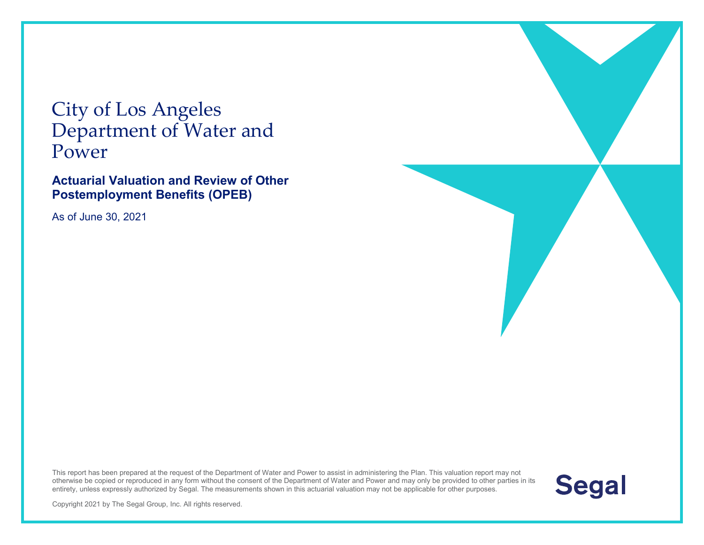City of Los Angeles Department of Water and Power

**Actuarial Valuation and Review of Other Postemployment Benefits (OPEB)** 

As of June 30, 2021





Copyright 2021 by The Segal Group, Inc. All rights reserved.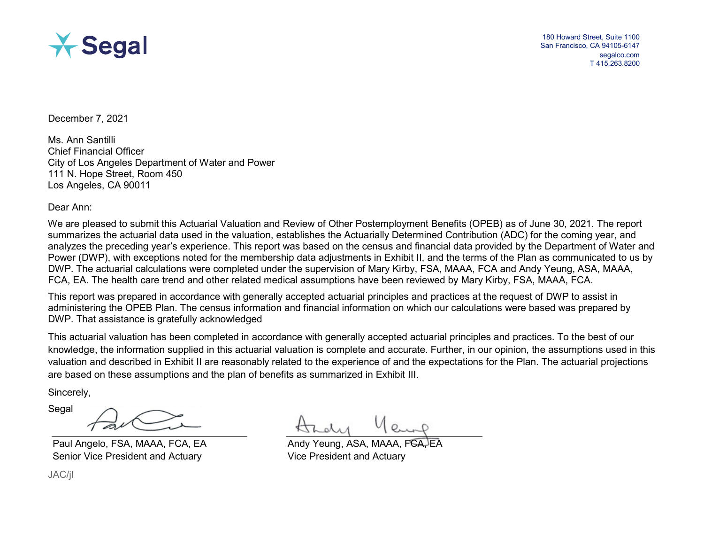

180 Howard Street, Suite 1100 San Francisco, CA 94105-6147 segalco.com T 415.263.8200

December 7, 2021

Ms. Ann Santilli Chief Financial Officer City of Los Angeles Department of Water and Power 111 N. Hope Street, Room 450 Los Angeles, CA 90011

Dear Ann:

We are pleased to submit this Actuarial Valuation and Review of Other Postemployment Benefits (OPEB) as of June 30, 2021. The report summarizes the actuarial data used in the valuation, establishes the Actuarially Determined Contribution (ADC) for the coming year, and analyzes the preceding year's experience. This report was based on the census and financial data provided by the Department of Water and Power (DWP), with exceptions noted for the membership data adjustments in Exhibit II, and the terms of the Plan as communicated to us by DWP. The actuarial calculations were completed under the supervision of Mary Kirby, FSA, MAAA, FCA and Andy Yeung, ASA, MAAA, FCA, EA. The health care trend and other related medical assumptions have been reviewed by Mary Kirby, FSA, MAAA, FCA.

This report was prepared in accordance with generally accepted actuarial principles and practices at the request of DWP to assist in administering the OPEB Plan. The census information and financial information on which our calculations were based was prepared by DWP. That assistance is gratefully acknowledged

This actuarial valuation has been completed in accordance with generally accepted actuarial principles and practices. To the best of our knowledge, the information supplied in this actuarial valuation is complete and accurate. Further, in our opinion, the assumptions used in this valuation and described in Exhibit II are reasonably related to the experience of and the expectations for the Plan. The actuarial projections are based on these assumptions and the plan of benefits as summarized in Exhibit III.

Sincerely,

Segal

Paul Angelo, FSA, MAAA, FCA, EA Senior Vice President and Actuary

JAC/jl

Andy Yeung, ASA, MAAA. Vice President and Actuary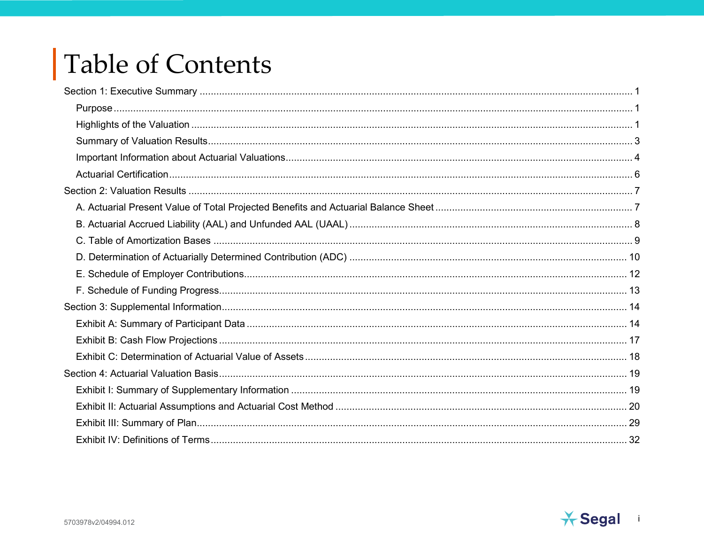# Table of Contents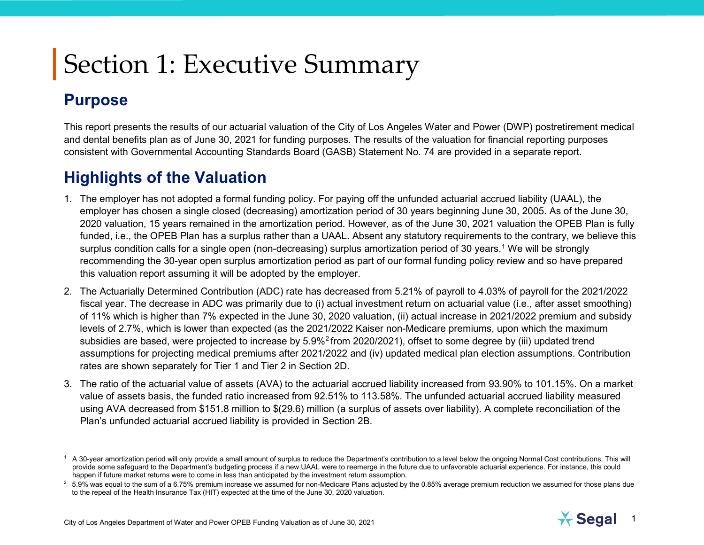## <span id="page-3-4"></span><span id="page-3-3"></span><span id="page-3-1"></span><span id="page-3-0"></span>**Purpose**

This report presents the results of our actuarial valuation of the City of Los Angeles Water and Power (DWP) postretirement medical and dental benefits plan as of June 30, 2021 for funding purposes. The results of the valuation for financial reporting purposes consistent with Governmental Accounting Standards Board (GASB) Statement No. 74 are provided in a separate report.

## <span id="page-3-2"></span>**Highlights of the Valuation**

- 1. The employer has not adopted a formal funding policy. For paying off the unfunded actuarial accrued liability (UAAL), the employer has chosen a single closed (decreasing) amortization period of 30 years beginning June 30, 2005. As of the June 30, 2020 valuation, 15 years remained in the amortization period. However, as of the June 30, 2021 valuation the OPEB Plan is fully funded, i.e., the OPEB Plan has a surplus rather than a UAAL. Absent any statutory requirements to the contrary, we believe this surplus condition calls for a single open (non-decreasing) surplus amortization period of 30 years.<sup>1</sup> We will be strongly recommending the 30-year open surplus amortization period as part of our formal funding policy review and so have prepared this valuation report assuming it will be adopted by the employer.
- 2. The Actuarially Determined Contribution (ADC) rate has decreased from 5.21% of payroll to 4.03% of payroll for the 2021/2022 fiscal year. The decrease in ADC was primarily due to (i) actual investment return on actuarial value (i.e., after asset smoothing) of 11% which is higher than 7% expected in the June 30, 2020 valuation, (ii) actual increase in 2021/2022 premium and subsidy levels of 2.7%, which is lower than expected (as the 2021/2022 Kaiser non-Medicare premiums, upon which the maximum subsidies are based, were projected to increase by 5.9%<sup>[2](#page-3-4)</sup> from 2020/2021), offset to some degree by (iii) updated trend assumptions for projecting medical premiums after 2021/2022 and (iv) updated medical plan election assumptions. Contribution rates are shown separately for Tier 1 and Tier 2 in Section 2D.
- 3. The ratio of the actuarial value of assets (AVA) to the actuarial accrued liability increased from 93.90% to 101.15%. On a market value of assets basis, the funded ratio increased from 92.51% to 113.58%. The unfunded actuarial accrued liability measured using AVA decreased from \$151.8 million to \$(29.6) million (a surplus of assets over liability). A complete reconciliation of the Plan's unfunded actuarial accrued liability is provided in Section 2B.



 $<sup>1</sup>$  A 30-year amortization period will only provide a small amount of surplus to reduce the Department's contribution to a level below the ongoing Normal Cost contributions. This will</sup> provide some safeguard to the Department's budgeting process if a new UAAL were to reemerge in the future due to unfavorable actuarial experience. For instance, this could happen if future market returns were to come in less than anticipated by the investment return assumption.

 $2$  5.9% was equal to the sum of a 6.75% premium increase we assumed for non-Medicare Plans adjusted by the 0.85% average premium reduction we assumed for those plans due to the repeal of the Health Insurance Tax (HIT) expected at the time of the June 30, 2020 valuation.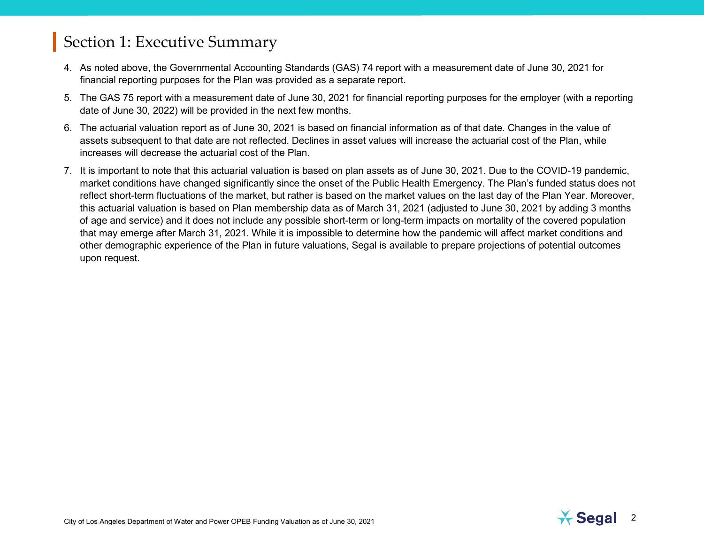- 4. As noted above, the Governmental Accounting Standards (GAS) 74 report with a measurement date of June 30, 2021 for financial reporting purposes for the Plan was provided as a separate report.
- 5. The GAS 75 report with a measurement date of June 30, 2021 for financial reporting purposes for the employer (with a reporting date of June 30, 2022) will be provided in the next few months.
- 6. The actuarial valuation report as of June 30, 2021 is based on financial information as of that date. Changes in the value of assets subsequent to that date are not reflected. Declines in asset values will increase the actuarial cost of the Plan, while increases will decrease the actuarial cost of the Plan.
- 7. It is important to note that this actuarial valuation is based on plan assets as of June 30, 2021. Due to the COVID-19 pandemic, market conditions have changed significantly since the onset of the Public Health Emergency. The Plan's funded status does not reflect short-term fluctuations of the market, but rather is based on the market values on the last day of the Plan Year. Moreover, this actuarial valuation is based on Plan membership data as of March 31, 2021 (adjusted to June 30, 2021 by adding 3 months of age and service) and it does not include any possible short-term or long-term impacts on mortality of the covered population that may emerge after March 31, 2021. While it is impossible to determine how the pandemic will affect market conditions and other demographic experience of the Plan in future valuations, Segal is available to prepare projections of potential outcomes upon request.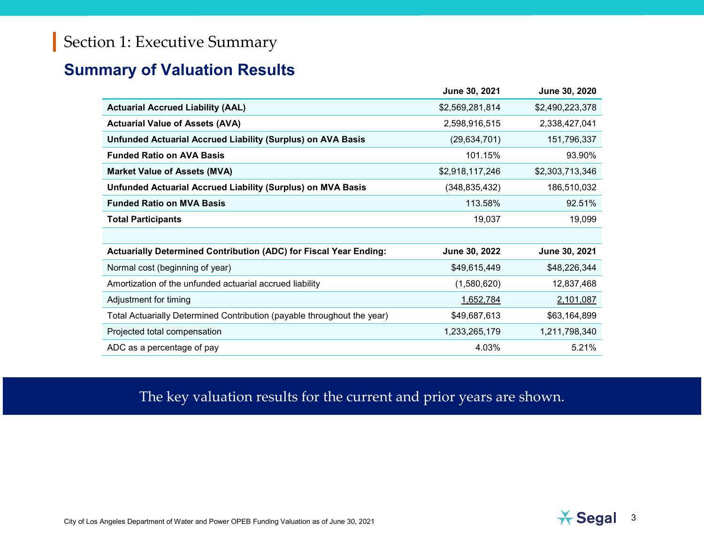### <span id="page-5-0"></span>**Summary of Valuation Results**

|                                                                          | June 30, 2021   | June 30, 2020   |
|--------------------------------------------------------------------------|-----------------|-----------------|
| <b>Actuarial Accrued Liability (AAL)</b>                                 | \$2,569,281,814 | \$2,490,223,378 |
| <b>Actuarial Value of Assets (AVA)</b>                                   | 2,598,916,515   | 2,338,427,041   |
| <b>Unfunded Actuarial Accrued Liability (Surplus) on AVA Basis</b>       | (29, 634, 701)  | 151,796,337     |
| <b>Funded Ratio on AVA Basis</b>                                         | 101.15%         | 93.90%          |
| <b>Market Value of Assets (MVA)</b>                                      | \$2,918,117,246 | \$2,303,713,346 |
| <b>Unfunded Actuarial Accrued Liability (Surplus) on MVA Basis</b>       | (348, 835, 432) | 186,510,032     |
| <b>Funded Ratio on MVA Basis</b>                                         | 113.58%         | 92.51%          |
| <b>Total Participants</b>                                                | 19,037          | 19,099          |
|                                                                          |                 |                 |
| <b>Actuarially Determined Contribution (ADC) for Fiscal Year Ending:</b> | June 30, 2022   | June 30, 2021   |
| Normal cost (beginning of year)                                          | \$49,615,449    | \$48,226,344    |
| Amortization of the unfunded actuarial accrued liability                 | (1,580,620)     | 12,837,468      |
| Adjustment for timing                                                    | 1,652,784       | 2,101,087       |
| Total Actuarially Determined Contribution (payable throughout the year)  | \$49,687,613    | \$63,164,899    |
| Projected total compensation                                             | 1,233,265,179   | 1,211,798,340   |
| ADC as a percentage of pay                                               | 4.03%           | 5.21%           |

### The key valuation results for the current and prior years are shown.

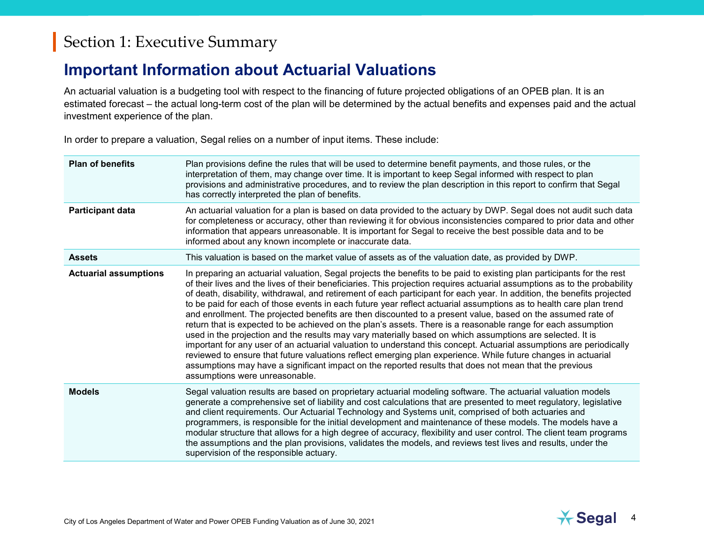## <span id="page-6-0"></span>**Important Information about Actuarial Valuations**

An actuarial valuation is a budgeting tool with respect to the financing of future projected obligations of an OPEB plan. It is an estimated forecast – the actual long-term cost of the plan will be determined by the actual benefits and expenses paid and the actual investment experience of the plan.

In order to prepare a valuation, Segal relies on a number of input items. These include:

| <b>Plan of benefits</b>      | Plan provisions define the rules that will be used to determine benefit payments, and those rules, or the<br>interpretation of them, may change over time. It is important to keep Segal informed with respect to plan<br>provisions and administrative procedures, and to review the plan description in this report to confirm that Segal<br>has correctly interpreted the plan of benefits.                                                                                                                                                                                                                                                                                                                                                                                                                                                                                                                                                                                                                                                                                                                                                                                                                                       |
|------------------------------|--------------------------------------------------------------------------------------------------------------------------------------------------------------------------------------------------------------------------------------------------------------------------------------------------------------------------------------------------------------------------------------------------------------------------------------------------------------------------------------------------------------------------------------------------------------------------------------------------------------------------------------------------------------------------------------------------------------------------------------------------------------------------------------------------------------------------------------------------------------------------------------------------------------------------------------------------------------------------------------------------------------------------------------------------------------------------------------------------------------------------------------------------------------------------------------------------------------------------------------|
| <b>Participant data</b>      | An actuarial valuation for a plan is based on data provided to the actuary by DWP. Segal does not audit such data<br>for completeness or accuracy, other than reviewing it for obvious inconsistencies compared to prior data and other<br>information that appears unreasonable. It is important for Segal to receive the best possible data and to be<br>informed about any known incomplete or inaccurate data.                                                                                                                                                                                                                                                                                                                                                                                                                                                                                                                                                                                                                                                                                                                                                                                                                   |
| <b>Assets</b>                | This valuation is based on the market value of assets as of the valuation date, as provided by DWP.                                                                                                                                                                                                                                                                                                                                                                                                                                                                                                                                                                                                                                                                                                                                                                                                                                                                                                                                                                                                                                                                                                                                  |
| <b>Actuarial assumptions</b> | In preparing an actuarial valuation, Segal projects the benefits to be paid to existing plan participants for the rest<br>of their lives and the lives of their beneficiaries. This projection requires actuarial assumptions as to the probability<br>of death, disability, withdrawal, and retirement of each participant for each year. In addition, the benefits projected<br>to be paid for each of those events in each future year reflect actuarial assumptions as to health care plan trend<br>and enrollment. The projected benefits are then discounted to a present value, based on the assumed rate of<br>return that is expected to be achieved on the plan's assets. There is a reasonable range for each assumption<br>used in the projection and the results may vary materially based on which assumptions are selected. It is<br>important for any user of an actuarial valuation to understand this concept. Actuarial assumptions are periodically<br>reviewed to ensure that future valuations reflect emerging plan experience. While future changes in actuarial<br>assumptions may have a significant impact on the reported results that does not mean that the previous<br>assumptions were unreasonable. |
| <b>Models</b>                | Segal valuation results are based on proprietary actuarial modeling software. The actuarial valuation models<br>generate a comprehensive set of liability and cost calculations that are presented to meet regulatory, legislative<br>and client requirements. Our Actuarial Technology and Systems unit, comprised of both actuaries and<br>programmers, is responsible for the initial development and maintenance of these models. The models have a<br>modular structure that allows for a high degree of accuracy, flexibility and user control. The client team programs<br>the assumptions and the plan provisions, validates the models, and reviews test lives and results, under the<br>supervision of the responsible actuary.                                                                                                                                                                                                                                                                                                                                                                                                                                                                                            |

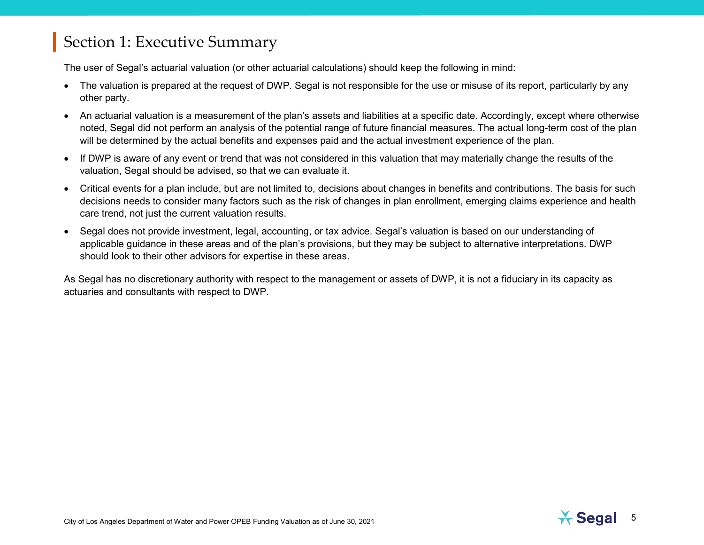The user of Segal's actuarial valuation (or other actuarial calculations) should keep the following in mind:

- The valuation is prepared at the request of DWP. Segal is not responsible for the use or misuse of its report, particularly by any other party.
- An actuarial valuation is a measurement of the plan's assets and liabilities at a specific date. Accordingly, except where otherwise noted, Segal did not perform an analysis of the potential range of future financial measures. The actual long-term cost of the plan will be determined by the actual benefits and expenses paid and the actual investment experience of the plan.
- If DWP is aware of any event or trend that was not considered in this valuation that may materially change the results of the valuation, Segal should be advised, so that we can evaluate it.
- Critical events for a plan include, but are not limited to, decisions about changes in benefits and contributions. The basis for such decisions needs to consider many factors such as the risk of changes in plan enrollment, emerging claims experience and health care trend, not just the current valuation results.
- Segal does not provide investment, legal, accounting, or tax advice. Segal's valuation is based on our understanding of applicable guidance in these areas and of the plan's provisions, but they may be subject to alternative interpretations. DWP should look to their other advisors for expertise in these areas.

As Segal has no discretionary authority with respect to the management or assets of DWP, it is not a fiduciary in its capacity as actuaries and consultants with respect to DWP.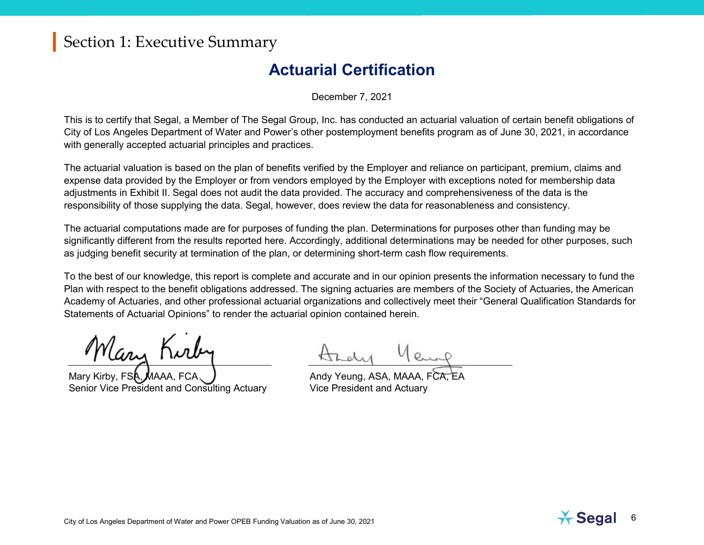### **Actuarial Certification**

December 7, 2021

<span id="page-8-0"></span>This is to certify that Segal, a Member of The Segal Group, Inc. has conducted an actuarial valuation of certain benefit obligations of City of Los Angeles Department of Water and Power's other postemployment benefits program as of June 30, 2021, in accordance with generally accepted actuarial principles and practices.

The actuarial valuation is based on the plan of benefits verified by the Employer and reliance on participant, premium, claims and expense data provided by the Employer or from vendors employed by the Employer with exceptions noted for membership data adjustments in Exhibit II. Segal does not audit the data provided. The accuracy and comprehensiveness of the data is the responsibility of those supplying the data. Segal, however, does review the data for reasonableness and consistency.

The actuarial computations made are for purposes of funding the plan. Determinations for purposes other than funding may be significantly different from the results reported here. Accordingly, additional determinations may be needed for other purposes, such as judging benefit security at termination of the plan, or determining short-term cash flow requirements.

To the best of our knowledge, this report is complete and accurate and in our opinion presents the information necessary to fund the Plan with respect to the benefit obligations addressed. The signing actuaries are members of the Society of Actuaries, the American Academy of Actuaries, and other professional actuarial organizations and collectively meet their "General Qualification Standards for Statements of Actuarial Opinions" to render the actuarial opinion contained herein.

*Mary* Kirb

Mary Kirby, FSA, Senior Vice President and Consulting Actuary

Hady Yeung

Andy Yeung, ASA, MAAA. FCA Vice President and Actuary

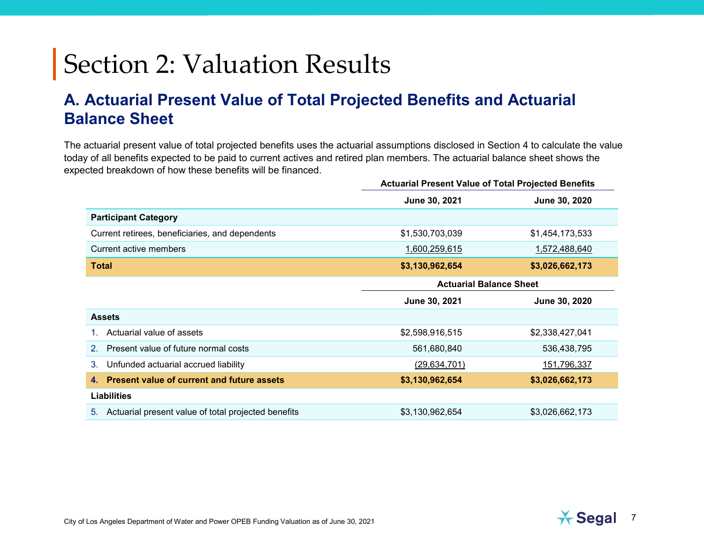### <span id="page-9-1"></span><span id="page-9-0"></span>**A. Actuarial Present Value of Total Projected Benefits and Actuarial Balance Sheet**

The actuarial present value of total projected benefits uses the actuarial assumptions disclosed in Section 4 to calculate the value today of all benefits expected to be paid to current actives and retired plan members. The actuarial balance sheet shows the expected breakdown of how these benefits will be financed.

|                                                           | <b>Actuarial Present Value of Total Projected Benefits</b> |                 |  |
|-----------------------------------------------------------|------------------------------------------------------------|-----------------|--|
|                                                           | June 30, 2021                                              | June 30, 2020   |  |
| <b>Participant Category</b>                               |                                                            |                 |  |
| Current retirees, beneficiaries, and dependents           | \$1,530,703,039                                            | \$1,454,173,533 |  |
| Current active members                                    | 1,600,259,615                                              | 1,572,488,640   |  |
| <b>Total</b>                                              | \$3,130,962,654                                            | \$3,026,662,173 |  |
|                                                           | <b>Actuarial Balance Sheet</b>                             |                 |  |
|                                                           | June 30, 2021                                              | June 30, 2020   |  |
| <b>Assets</b>                                             |                                                            |                 |  |
| Actuarial value of assets                                 | \$2,598,916,515                                            | \$2,338,427,041 |  |
| Present value of future normal costs<br>$2_{-}$           | 561,680,840                                                | 536,438,795     |  |
| Unfunded actuarial accrued liability<br>3.                | (29, 634, 701)                                             | 151,796,337     |  |
| <b>Present value of current and future assets</b><br>4.   | \$3,130,962,654                                            | \$3,026,662,173 |  |
| <b>Liabilities</b>                                        |                                                            |                 |  |
| Actuarial present value of total projected benefits<br>5. | \$3,130,962,654                                            | \$3,026,662,173 |  |

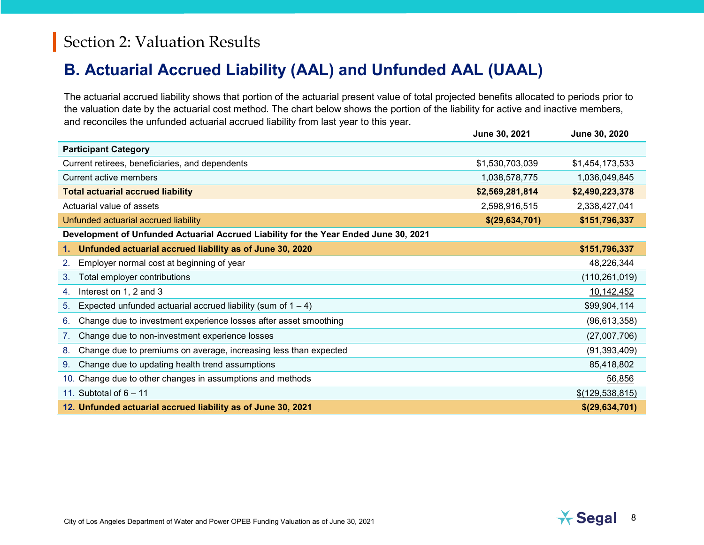## <span id="page-10-0"></span>**B. Actuarial Accrued Liability (AAL) and Unfunded AAL (UAAL)**

The actuarial accrued liability shows that portion of the actuarial present value of total projected benefits allocated to periods prior to the valuation date by the actuarial cost method. The chart below shows the portion of the liability for active and inactive members, and reconciles the unfunded actuarial accrued liability from last year to this year.

|                                                                                      | <b>June 30, 2021</b> | <b>June 30, 2020</b> |  |  |  |
|--------------------------------------------------------------------------------------|----------------------|----------------------|--|--|--|
| <b>Participant Category</b>                                                          |                      |                      |  |  |  |
| Current retirees, beneficiaries, and dependents                                      | \$1,530,703,039      | \$1,454,173,533      |  |  |  |
| Current active members                                                               | 1,038,578,775        | 1,036,049,845        |  |  |  |
| <b>Total actuarial accrued liability</b>                                             | \$2,569,281,814      | \$2,490,223,378      |  |  |  |
| Actuarial value of assets                                                            | 2,598,916,515        | 2,338,427,041        |  |  |  |
| Unfunded actuarial accrued liability                                                 | \$(29,634,701)       | \$151,796,337        |  |  |  |
| Development of Unfunded Actuarial Accrued Liability for the Year Ended June 30, 2021 |                      |                      |  |  |  |
| Unfunded actuarial accrued liability as of June 30, 2020<br>1.                       |                      | \$151,796,337        |  |  |  |
| Employer normal cost at beginning of year<br>2.                                      |                      | 48,226,344           |  |  |  |
| Total employer contributions<br>3.                                                   |                      | (110, 261, 019)      |  |  |  |
| Interest on 1, 2 and 3<br>4.                                                         |                      | 10,142,452           |  |  |  |
| Expected unfunded actuarial accrued liability (sum of $1 - 4$ )<br>5.                |                      | \$99,904,114         |  |  |  |
| Change due to investment experience losses after asset smoothing<br>6.               |                      | (96, 613, 358)       |  |  |  |
| Change due to non-investment experience losses<br>7.                                 |                      | (27,007,706)         |  |  |  |
| Change due to premiums on average, increasing less than expected<br>8.               |                      | (91, 393, 409)       |  |  |  |
| Change due to updating health trend assumptions<br>9.                                |                      | 85,418,802           |  |  |  |
| 10. Change due to other changes in assumptions and methods                           |                      | 56,856               |  |  |  |
| 11. Subtotal of $6 - 11$                                                             |                      | \$(129, 538, 815)    |  |  |  |
| 12. Unfunded actuarial accrued liability as of June 30, 2021                         |                      | \$(29, 634, 701)     |  |  |  |

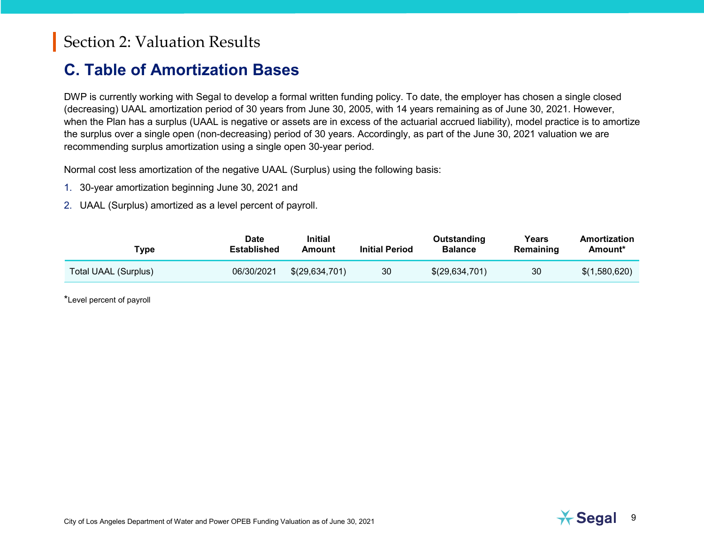### <span id="page-11-0"></span>**C. Table of Amortization Bases**

DWP is currently working with Segal to develop a formal written funding policy. To date, the employer has chosen a single closed (decreasing) UAAL amortization period of 30 years from June 30, 2005, with 14 years remaining as of June 30, 2021. However, when the Plan has a surplus (UAAL is negative or assets are in excess of the actuarial accrued liability), model practice is to amortize the surplus over a single open (non-decreasing) period of 30 years. Accordingly, as part of the June 30, 2021 valuation we are recommending surplus amortization using a single open 30-year period.

Normal cost less amortization of the negative UAAL (Surplus) using the following basis:

- 1. 30-year amortization beginning June 30, 2021 and
- 2. UAAL (Surplus) amortized as a level percent of payroll.

| 'ype                 | Date<br><b>Established</b> | <b>Initial</b><br>Amount | <b>Initial Period</b> | Outstanding<br><b>Balance</b> | Years<br>Remaining | Amortization<br>Amount* |
|----------------------|----------------------------|--------------------------|-----------------------|-------------------------------|--------------------|-------------------------|
| Total UAAL (Surplus) | 06/30/2021                 | \$(29,634,701)           | 30                    | \$(29,634,701)                | 30                 | \$(1,580,620)           |

\*Level percent of payroll

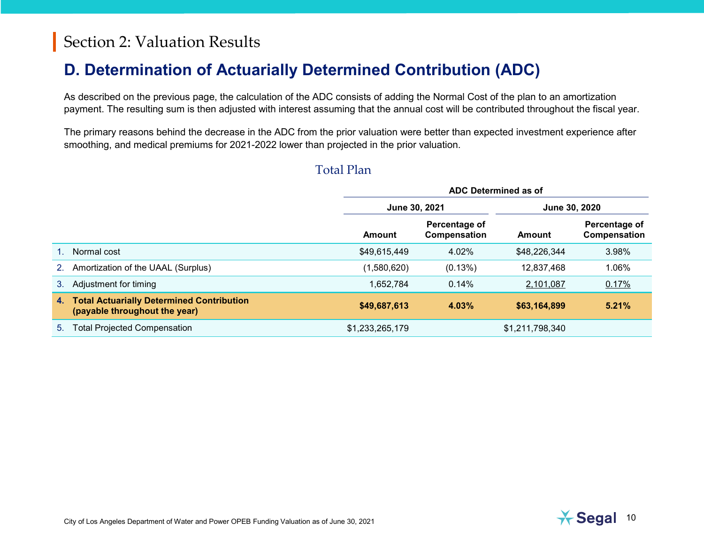## <span id="page-12-0"></span>**D. Determination of Actuarially Determined Contribution (ADC)**

As described on the previous page, the calculation of the ADC consists of adding the Normal Cost of the plan to an amortization payment. The resulting sum is then adjusted with interest assuming that the annual cost will be contributed throughout the fiscal year.

The primary reasons behind the decrease in the ADC from the prior valuation were better than expected investment experience after smoothing, and medical premiums for 2021-2022 lower than projected in the prior valuation.

#### Total Plan

|    |                                                                                   | ADC Determined as of                  |                               |                 |                               |
|----|-----------------------------------------------------------------------------------|---------------------------------------|-------------------------------|-----------------|-------------------------------|
|    |                                                                                   | June 30, 2021<br><b>June 30, 2020</b> |                               |                 |                               |
|    |                                                                                   | Amount                                | Percentage of<br>Compensation | Amount          | Percentage of<br>Compensation |
|    | Normal cost                                                                       | \$49,615,449                          | 4.02%                         | \$48,226,344    | 3.98%                         |
| 2. | Amortization of the UAAL (Surplus)                                                | (1,580,620)                           | (0.13%)                       | 12,837,468      | 1.06%                         |
| 3. | Adjustment for timing                                                             | 1,652,784                             | 0.14%                         | 2,101,087       | 0.17%                         |
| 4. | <b>Total Actuarially Determined Contribution</b><br>(payable throughout the year) | \$49,687,613                          | 4.03%                         | \$63,164,899    | 5.21%                         |
| 5. | <b>Total Projected Compensation</b>                                               | \$1,233,265,179                       |                               | \$1,211,798,340 |                               |

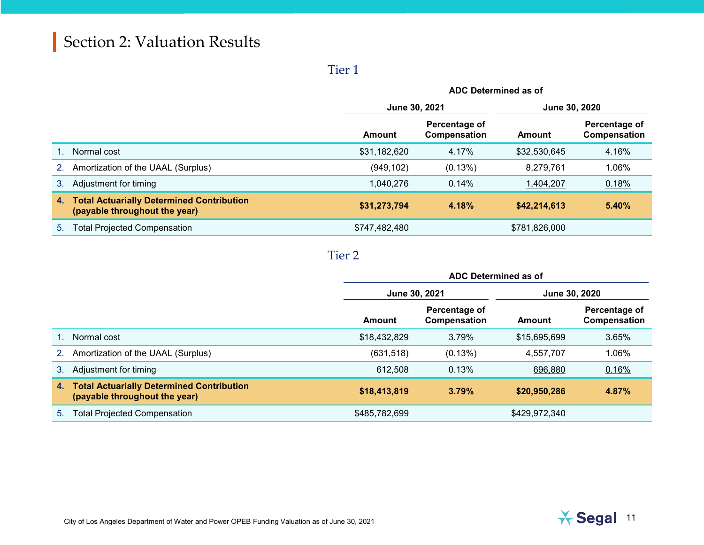#### Tier 1

|                |                                                                                   | ADC Determined as of |                                |               |                               |
|----------------|-----------------------------------------------------------------------------------|----------------------|--------------------------------|---------------|-------------------------------|
|                |                                                                                   |                      | June 30, 2021<br>June 30, 2020 |               |                               |
|                |                                                                                   | Amount               | Percentage of<br>Compensation  | Amount        | Percentage of<br>Compensation |
|                | Normal cost                                                                       | \$31,182,620         | 4.17%                          | \$32,530,645  | 4.16%                         |
| 2 <sub>1</sub> | Amortization of the UAAL (Surplus)                                                | (949, 102)           | (0.13%)                        | 8,279,761     | 1.06%                         |
| 3.             | Adjustment for timing                                                             | 1,040,276            | 0.14%                          | 1,404,207     | 0.18%                         |
| 4.             | <b>Total Actuarially Determined Contribution</b><br>(payable throughout the year) | \$31,273,794         | 4.18%                          | \$42,214,613  | 5.40%                         |
| 5.             | <b>Total Projected Compensation</b>                                               | \$747,482,480        |                                | \$781,826,000 |                               |

#### Tier 2

|         |                                                                                   | ADC Determined as of |                               |               |                               |
|---------|-----------------------------------------------------------------------------------|----------------------|-------------------------------|---------------|-------------------------------|
|         |                                                                                   | June 30, 2021        |                               | June 30, 2020 |                               |
|         |                                                                                   | Amount               | Percentage of<br>Compensation | Amount        | Percentage of<br>Compensation |
|         | Normal cost                                                                       | \$18,432,829         | 3.79%                         | \$15,695,699  | 3.65%                         |
| 2.      | Amortization of the UAAL (Surplus)                                                | (631, 518)           | (0.13%)                       | 4,557,707     | 1.06%                         |
| $3_{-}$ | Adjustment for timing                                                             | 612,508              | 0.13%                         | 696,880       | 0.16%                         |
| 4.      | <b>Total Actuarially Determined Contribution</b><br>(payable throughout the year) | \$18,413,819         | 3.79%                         | \$20,950,286  | 4.87%                         |
| 5.      | <b>Total Projected Compensation</b>                                               | \$485,782,699        |                               | \$429,972,340 |                               |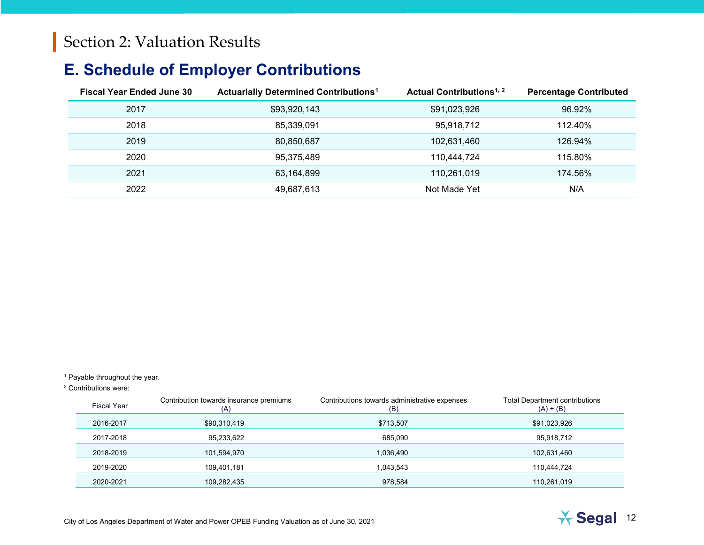## <span id="page-14-2"></span><span id="page-14-1"></span><span id="page-14-0"></span>**E. Schedule of Employer Contributions**

| <b>Fiscal Year Ended June 30</b> | <b>Actuarially Determined Contributions<sup>1</sup></b> | Actual Contributions <sup>1, 2</sup> | <b>Percentage Contributed</b> |
|----------------------------------|---------------------------------------------------------|--------------------------------------|-------------------------------|
| 2017                             | \$93,920,143                                            | \$91,023,926                         | 96.92%                        |
| 2018                             | 85,339,091                                              | 95,918,712                           | 112.40%                       |
| 2019                             | 80,850,687                                              | 102,631,460                          | 126.94%                       |
| 2020                             | 95,375,489                                              | 110.444.724                          | 115.80%                       |
| 2021                             | 63,164,899                                              | 110.261.019                          | 174.56%                       |
| 2022                             | 49,687,613                                              | Not Made Yet                         | N/A                           |

<sup>1</sup> Payable throughout the year.

<sup>2</sup> Contributions were:

| Fiscal Year | Contribution towards insurance premiums<br>(A) | Contributions towards administrative expenses<br>(B) | <b>Total Department contributions</b><br>$(A) + (B)$ |
|-------------|------------------------------------------------|------------------------------------------------------|------------------------------------------------------|
| 2016-2017   | \$90,310,419                                   | \$713,507                                            | \$91,023,926                                         |
| 2017-2018   | 95,233,622                                     | 685,090                                              | 95,918,712                                           |
| 2018-2019   | 101,594,970                                    | 1,036,490                                            | 102,631,460                                          |
| 2019-2020   | 109,401,181                                    | 1,043,543                                            | 110.444.724                                          |
| 2020-2021   | 109,282,435                                    | 978,584                                              | 110,261,019                                          |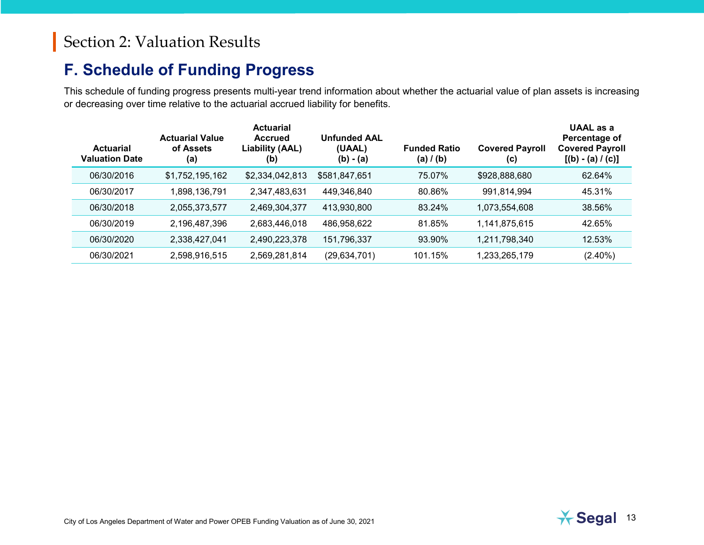### <span id="page-15-0"></span>**F. Schedule of Funding Progress**

This schedule of funding progress presents multi-year trend information about whether the actuarial value of plan assets is increasing or decreasing over time relative to the actuarial accrued liability for benefits.

| <b>Actuarial</b><br><b>Valuation Date</b> | <b>Actuarial Value</b><br>of Assets<br>(a) | <b>Actuarial</b><br><b>Accrued</b><br>Liability (AAL)<br>(b) | <b>Unfunded AAL</b><br>(UAAL)<br>$(b) - (a)$ | <b>Funded Ratio</b><br>(a) $/$ (b) | <b>Covered Payroll</b><br>(c) | UAAL as a<br>Percentage of<br><b>Covered Payroll</b><br>$[(b) - (a) / (c)]$ |
|-------------------------------------------|--------------------------------------------|--------------------------------------------------------------|----------------------------------------------|------------------------------------|-------------------------------|-----------------------------------------------------------------------------|
| 06/30/2016                                | \$1,752,195,162                            | \$2,334,042,813                                              | \$581,847,651                                | 75.07%                             | \$928,888,680                 | 62.64%                                                                      |
| 06/30/2017                                | 1,898,136,791                              | 2,347,483,631                                                | 449,346,840                                  | 80.86%                             | 991,814,994                   | 45.31%                                                                      |
| 06/30/2018                                | 2,055,373,577                              | 2,469,304,377                                                | 413,930,800                                  | 83.24%                             | 1,073,554,608                 | 38.56%                                                                      |
| 06/30/2019                                | 2,196,487,396                              | 2,683,446,018                                                | 486,958,622                                  | 81.85%                             | 1,141,875,615                 | 42.65%                                                                      |
| 06/30/2020                                | 2,338,427,041                              | 2,490,223,378                                                | 151,796,337                                  | 93.90%                             | 1,211,798,340                 | 12.53%                                                                      |
| 06/30/2021                                | 2,598,916,515                              | 2,569,281,814                                                | (29, 634, 701)                               | 101.15%                            | 1,233,265,179                 | $(2.40\%)$                                                                  |

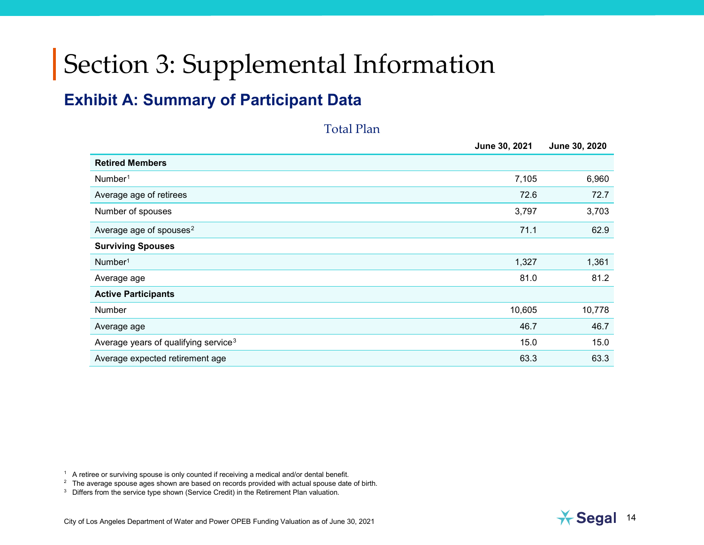## <span id="page-16-1"></span><span id="page-16-0"></span>**Exhibit A: Summary of Participant Data**

#### <span id="page-16-4"></span><span id="page-16-3"></span><span id="page-16-2"></span>Total Plan

|                                                  | June 30, 2021 | June 30, 2020 |
|--------------------------------------------------|---------------|---------------|
| <b>Retired Members</b>                           |               |               |
| Number <sup>1</sup>                              | 7,105         | 6,960         |
| Average age of retirees                          | 72.6          | 72.7          |
| Number of spouses                                | 3,797         | 3,703         |
| Average age of spouses <sup>2</sup>              | 71.1          | 62.9          |
| <b>Surviving Spouses</b>                         |               |               |
| Number <sup>1</sup>                              | 1,327         | 1,361         |
| Average age                                      | 81.0          | 81.2          |
| <b>Active Participants</b>                       |               |               |
| Number                                           | 10,605        | 10,778        |
| Average age                                      | 46.7          | 46.7          |
| Average years of qualifying service <sup>3</sup> | 15.0          | 15.0          |
| Average expected retirement age                  | 63.3          | 63.3          |
|                                                  |               |               |

 $1$  A retiree or surviving spouse is only counted if receiving a medical and/or dental benefit.

<sup>2</sup> The average spouse ages shown are based on records provided with actual spouse date of birth.

<sup>3</sup> Differs from the service type shown (Service Credit) in the Retirement Plan valuation.

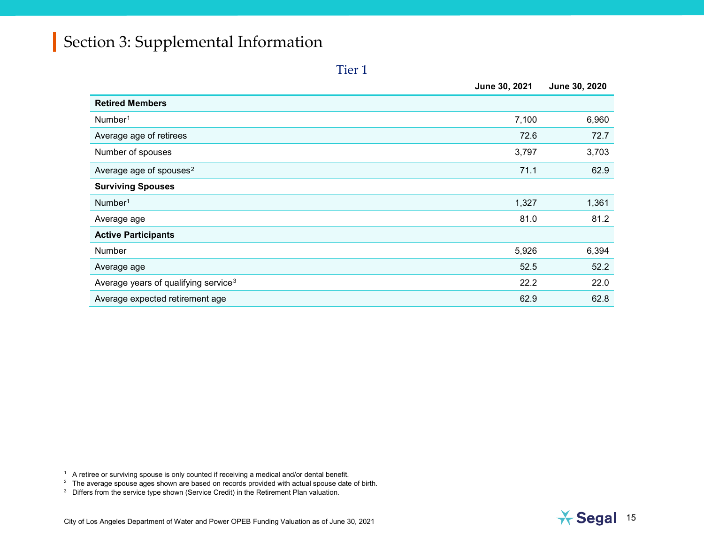#### <span id="page-17-2"></span><span id="page-17-1"></span><span id="page-17-0"></span>Tier 1

|                                                  | June 30, 2021 | June 30, 2020 |
|--------------------------------------------------|---------------|---------------|
| <b>Retired Members</b>                           |               |               |
| Number <sup>1</sup>                              | 7,100         | 6,960         |
| Average age of retirees                          | 72.6          | 72.7          |
| Number of spouses                                | 3,797         | 3,703         |
| Average age of spouses <sup>2</sup>              | 71.1          | 62.9          |
| <b>Surviving Spouses</b>                         |               |               |
| Number <sup>1</sup>                              | 1,327         | 1,361         |
| Average age                                      | 81.0          | 81.2          |
| <b>Active Participants</b>                       |               |               |
| Number                                           | 5,926         | 6,394         |
| Average age                                      | 52.5          | 52.2          |
| Average years of qualifying service <sup>3</sup> | 22.2          | 22.0          |
| Average expected retirement age                  | 62.9          | 62.8          |

 $1$  A retiree or surviving spouse is only counted if receiving a medical and/or dental benefit.

<sup>2</sup> The average spouse ages shown are based on records provided with actual spouse date of birth.



<sup>&</sup>lt;sup>3</sup> Differs from the service type shown (Service Credit) in the Retirement Plan valuation.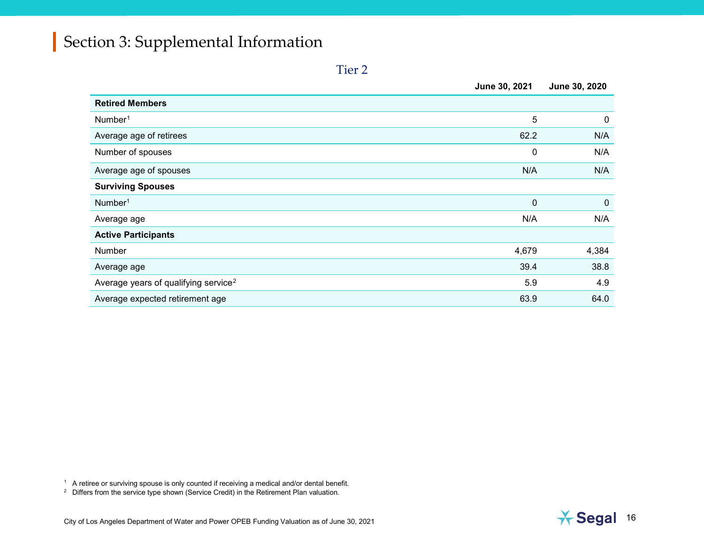<span id="page-18-1"></span><span id="page-18-0"></span>

| ۰, |  |
|----|--|

|                                                  | June 30, 2021 | June 30, 2020 |
|--------------------------------------------------|---------------|---------------|
| <b>Retired Members</b>                           |               |               |
| Number <sup>1</sup>                              | 5             | $\mathbf 0$   |
| Average age of retirees                          | 62.2          | N/A           |
| Number of spouses                                | 0             | N/A           |
| Average age of spouses                           | N/A           | N/A           |
| <b>Surviving Spouses</b>                         |               |               |
| Number <sup>1</sup>                              | $\pmb{0}$     | $\mathbf 0$   |
| Average age                                      | N/A           | N/A           |
| <b>Active Participants</b>                       |               |               |
| Number                                           | 4,679         | 4,384         |
| Average age                                      | 39.4          | 38.8          |
| Average years of qualifying service <sup>2</sup> | 5.9           | 4.9           |
| Average expected retirement age                  | 63.9          | 64.0          |

 $^{\rm 1}\;$  A retiree or surviving spouse is only counted if receiving a medical and/or dental benefit.

 $2$  Differs from the service type shown (Service Credit) in the Retirement Plan valuation.

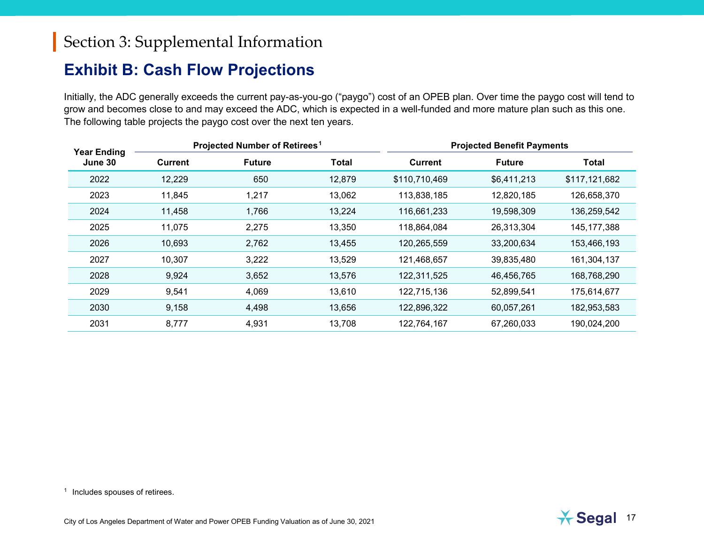### <span id="page-19-1"></span><span id="page-19-0"></span>**Exhibit B: Cash Flow Projections**

Initially, the ADC generally exceeds the current pay-as-you-go ("paygo") cost of an OPEB plan. Over time the paygo cost will tend to grow and becomes close to and may exceed the ADC, which is expected in a well-funded and more mature plan such as this one. The following table projects the paygo cost over the next ten years.

| <b>Year Ending</b> |                | Projected Number of Retirees <sup>1</sup> |              |                | <b>Projected Benefit Payments</b> |               |
|--------------------|----------------|-------------------------------------------|--------------|----------------|-----------------------------------|---------------|
| June 30            | <b>Current</b> | <b>Future</b>                             | <b>Total</b> | <b>Current</b> | <b>Future</b>                     | <b>Total</b>  |
| 2022               | 12,229         | 650                                       | 12,879       | \$110,710,469  | \$6,411,213                       | \$117,121,682 |
| 2023               | 11,845         | 1,217                                     | 13,062       | 113,838,185    | 12,820,185                        | 126,658,370   |
| 2024               | 11,458         | 1,766                                     | 13,224       | 116,661,233    | 19,598,309                        | 136,259,542   |
| 2025               | 11,075         | 2,275                                     | 13,350       | 118,864,084    | 26,313,304                        | 145, 177, 388 |
| 2026               | 10,693         | 2,762                                     | 13,455       | 120,265,559    | 33,200,634                        | 153,466,193   |
| 2027               | 10,307         | 3,222                                     | 13,529       | 121,468,657    | 39,835,480                        | 161,304,137   |
| 2028               | 9,924          | 3,652                                     | 13,576       | 122,311,525    | 46,456,765                        | 168,768,290   |
| 2029               | 9,541          | 4,069                                     | 13,610       | 122,715,136    | 52,899,541                        | 175,614,677   |
| 2030               | 9,158          | 4,498                                     | 13,656       | 122,896,322    | 60,057,261                        | 182,953,583   |
| 2031               | 8,777          | 4,931                                     | 13,708       | 122,764,167    | 67,260,033                        | 190,024,200   |

<sup>1</sup> Includes spouses of retirees.

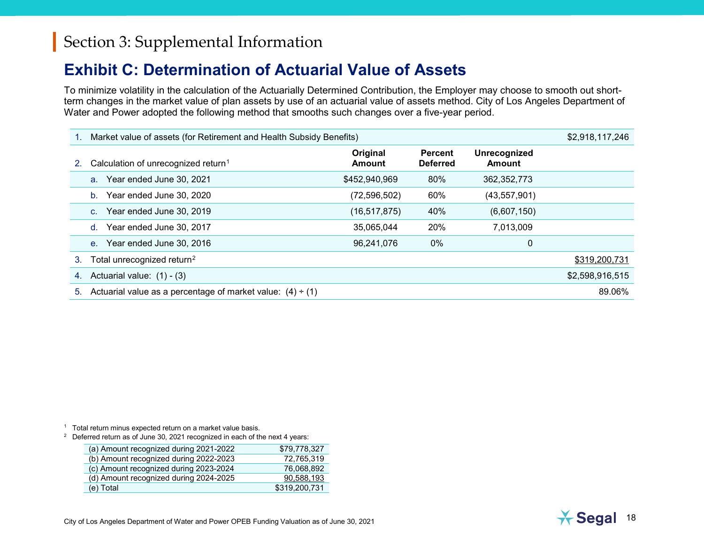### <span id="page-20-2"></span><span id="page-20-1"></span><span id="page-20-0"></span>**Exhibit C: Determination of Actuarial Value of Assets**

To minimize volatility in the calculation of the Actuarially Determined Contribution, the Employer may choose to smooth out shortterm changes in the market value of plan assets by use of an actuarial value of assets method. City of Los Angeles Department of Water and Power adopted the following method that smooths such changes over a five-year period.

|    | Market value of assets (for Retirement and Health Subsidy Benefits) |                    |                                   |                               | \$2,918,117,246 |
|----|---------------------------------------------------------------------|--------------------|-----------------------------------|-------------------------------|-----------------|
| 2. | Calculation of unrecognized return <sup>1</sup>                     | Original<br>Amount | <b>Percent</b><br><b>Deferred</b> | Unrecognized<br><b>Amount</b> |                 |
|    | Year ended June 30, 2021<br>a <sub>z</sub>                          | \$452,940,969      | 80%                               | 362, 352, 773                 |                 |
|    | Year ended June 30, 2020<br>$b_{-}$                                 | (72, 596, 502)     | 60%                               | (43, 557, 901)                |                 |
|    | Year ended June 30, 2019<br>C <sub>1</sub>                          | (16, 517, 875)     | 40%                               | (6,607,150)                   |                 |
|    | Year ended June 30, 2017<br>d.                                      | 35,065,044         | 20%                               | 7,013,009                     |                 |
|    | Year ended June 30, 2016<br>$e_{1}$                                 | 96,241,076         | $0\%$                             | 0                             |                 |
| 3. | Total unrecognized return <sup>2</sup>                              |                    |                                   |                               | \$319,200,731   |
| 4. | Actuarial value: $(1) - (3)$                                        |                    |                                   |                               | \$2,598,916,515 |
| 5. | Actuarial value as a percentage of market value: $(4) \div (1)$     |                    |                                   |                               | 89.06%          |

<sup>1</sup> Total return minus expected return on a market value basis.

 $2^{\circ}$  Deferred return as of June 30, 2021 recognized in each of the next 4 years:

| (a) Amount recognized during 2021-2022 | \$79.778.327  |
|----------------------------------------|---------------|
| (b) Amount recognized during 2022-2023 | 72.765.319    |
| (c) Amount recognized during 2023-2024 | 76.068.892    |
| (d) Amount recognized during 2024-2025 | 90,588,193    |
| (e) Total                              | \$319,200,731 |

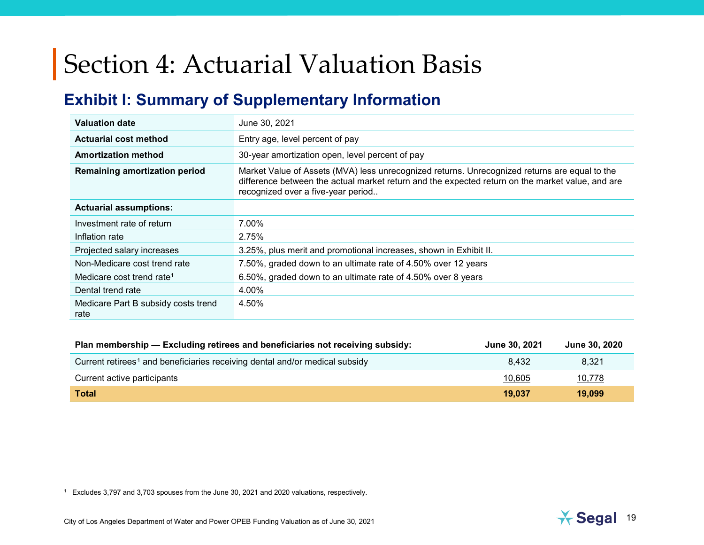## <span id="page-21-2"></span><span id="page-21-1"></span><span id="page-21-0"></span>**Exhibit I: Summary of Supplementary Information**

| <b>Valuation date</b>                       | June 30, 2021                                                                                                                                                                                                                           |
|---------------------------------------------|-----------------------------------------------------------------------------------------------------------------------------------------------------------------------------------------------------------------------------------------|
| <b>Actuarial cost method</b>                | Entry age, level percent of pay                                                                                                                                                                                                         |
| <b>Amortization method</b>                  | 30-year amortization open, level percent of pay                                                                                                                                                                                         |
| <b>Remaining amortization period</b>        | Market Value of Assets (MVA) less unrecognized returns. Unrecognized returns are equal to the<br>difference between the actual market return and the expected return on the market value, and are<br>recognized over a five-year period |
| <b>Actuarial assumptions:</b>               |                                                                                                                                                                                                                                         |
| Investment rate of return                   | 7.00%                                                                                                                                                                                                                                   |
| Inflation rate                              | 2.75%                                                                                                                                                                                                                                   |
| Projected salary increases                  | 3.25%, plus merit and promotional increases, shown in Exhibit II.                                                                                                                                                                       |
| Non-Medicare cost trend rate                | 7.50%, graded down to an ultimate rate of 4.50% over 12 years                                                                                                                                                                           |
| Medicare cost trend rate <sup>1</sup>       | 6.50%, graded down to an ultimate rate of 4.50% over 8 years                                                                                                                                                                            |
| Dental trend rate                           | 4.00%                                                                                                                                                                                                                                   |
| Medicare Part B subsidy costs trend<br>rate | 4.50%                                                                                                                                                                                                                                   |

| Plan membership - Excluding retirees and beneficiaries not receiving subsidy:           | <b>June 30, 2021</b> | <b>June 30, 2020</b> |
|-----------------------------------------------------------------------------------------|----------------------|----------------------|
| Current retirees <sup>1</sup> and beneficiaries receiving dental and/or medical subsidy | 8.432                | 8.321                |
| Current active participants                                                             | 10.605               | 10,778               |
| <b>Total</b>                                                                            | 19,037               | 19,099               |

<sup>1</sup> Excludes 3,797 and 3,703 spouses from the June 30, 2021 and 2020 valuations, respectively.

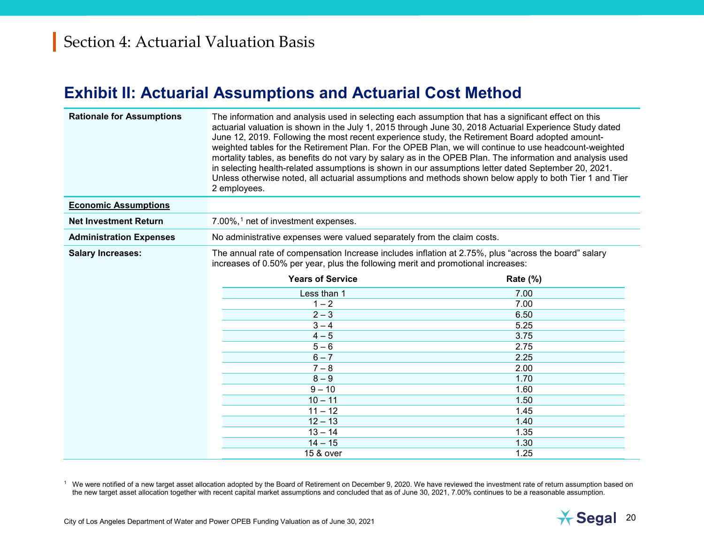### <span id="page-22-1"></span><span id="page-22-0"></span>**Exhibit II: Actuarial Assumptions and Actuarial Cost Method**

| <b>Rationale for Assumptions</b> | The information and analysis used in selecting each assumption that has a significant effect on this<br>actuarial valuation is shown in the July 1, 2015 through June 30, 2018 Actuarial Experience Study dated<br>June 12, 2019. Following the most recent experience study, the Retirement Board adopted amount-<br>weighted tables for the Retirement Plan. For the OPEB Plan, we will continue to use headcount-weighted<br>mortality tables, as benefits do not vary by salary as in the OPEB Plan. The information and analysis used<br>in selecting health-related assumptions is shown in our assumptions letter dated September 20, 2021.<br>Unless otherwise noted, all actuarial assumptions and methods shown below apply to both Tier 1 and Tier<br>2 employees. |          |
|----------------------------------|-------------------------------------------------------------------------------------------------------------------------------------------------------------------------------------------------------------------------------------------------------------------------------------------------------------------------------------------------------------------------------------------------------------------------------------------------------------------------------------------------------------------------------------------------------------------------------------------------------------------------------------------------------------------------------------------------------------------------------------------------------------------------------|----------|
| <b>Economic Assumptions</b>      |                                                                                                                                                                                                                                                                                                                                                                                                                                                                                                                                                                                                                                                                                                                                                                               |          |
| <b>Net Investment Return</b>     | 7.00%, <sup>1</sup> net of investment expenses.                                                                                                                                                                                                                                                                                                                                                                                                                                                                                                                                                                                                                                                                                                                               |          |
| <b>Administration Expenses</b>   | No administrative expenses were valued separately from the claim costs.                                                                                                                                                                                                                                                                                                                                                                                                                                                                                                                                                                                                                                                                                                       |          |
| <b>Salary Increases:</b>         | The annual rate of compensation Increase includes inflation at 2.75%, plus "across the board" salary<br>increases of 0.50% per year, plus the following merit and promotional increases:                                                                                                                                                                                                                                                                                                                                                                                                                                                                                                                                                                                      |          |
|                                  | <b>Years of Service</b>                                                                                                                                                                                                                                                                                                                                                                                                                                                                                                                                                                                                                                                                                                                                                       | Rate (%) |
|                                  | Less than 1                                                                                                                                                                                                                                                                                                                                                                                                                                                                                                                                                                                                                                                                                                                                                                   | 7.00     |
|                                  | $1 - 2$                                                                                                                                                                                                                                                                                                                                                                                                                                                                                                                                                                                                                                                                                                                                                                       | 7.00     |
|                                  | $2 - 3$                                                                                                                                                                                                                                                                                                                                                                                                                                                                                                                                                                                                                                                                                                                                                                       | 6.50     |
|                                  | $3 - 4$                                                                                                                                                                                                                                                                                                                                                                                                                                                                                                                                                                                                                                                                                                                                                                       | 5.25     |
|                                  | $4 - 5$                                                                                                                                                                                                                                                                                                                                                                                                                                                                                                                                                                                                                                                                                                                                                                       | 3.75     |
|                                  | $5 - 6$                                                                                                                                                                                                                                                                                                                                                                                                                                                                                                                                                                                                                                                                                                                                                                       | 2.75     |
|                                  | $6 - 7$                                                                                                                                                                                                                                                                                                                                                                                                                                                                                                                                                                                                                                                                                                                                                                       | 2.25     |
|                                  | $7 - 8$                                                                                                                                                                                                                                                                                                                                                                                                                                                                                                                                                                                                                                                                                                                                                                       | 2.00     |
|                                  | $8 - 9$                                                                                                                                                                                                                                                                                                                                                                                                                                                                                                                                                                                                                                                                                                                                                                       | 1.70     |
|                                  | $9 - 10$                                                                                                                                                                                                                                                                                                                                                                                                                                                                                                                                                                                                                                                                                                                                                                      | 1.60     |
|                                  | $10 - 11$                                                                                                                                                                                                                                                                                                                                                                                                                                                                                                                                                                                                                                                                                                                                                                     | 1.50     |
|                                  | $11 - 12$                                                                                                                                                                                                                                                                                                                                                                                                                                                                                                                                                                                                                                                                                                                                                                     | 1.45     |
|                                  | $12 - 13$                                                                                                                                                                                                                                                                                                                                                                                                                                                                                                                                                                                                                                                                                                                                                                     | 1.40     |
|                                  | $13 - 14$                                                                                                                                                                                                                                                                                                                                                                                                                                                                                                                                                                                                                                                                                                                                                                     | 1.35     |
|                                  | $14 - 15$                                                                                                                                                                                                                                                                                                                                                                                                                                                                                                                                                                                                                                                                                                                                                                     | 1.30     |
|                                  | 15 & over                                                                                                                                                                                                                                                                                                                                                                                                                                                                                                                                                                                                                                                                                                                                                                     | 1.25     |

<sup>1</sup> We were notified of a new target asset allocation adopted by the Board of Retirement on December 9, 2020. We have reviewed the investment rate of return assumption based on the new target asset allocation together with recent capital market assumptions and concluded that as of June 30, 2021, 7.00% continues to be a reasonable assumption.

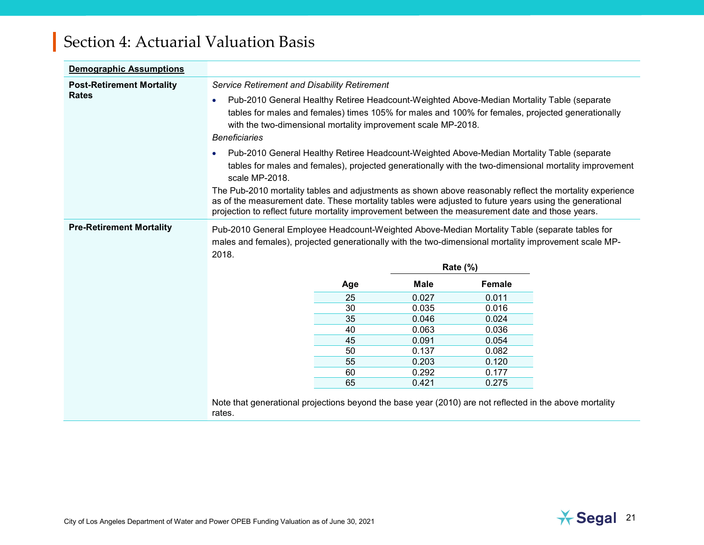| <b>Demographic Assumptions</b>                   |                                                                                                                                                                                                                                                                                                                         |     |             |                 |                                                                                                        |
|--------------------------------------------------|-------------------------------------------------------------------------------------------------------------------------------------------------------------------------------------------------------------------------------------------------------------------------------------------------------------------------|-----|-------------|-----------------|--------------------------------------------------------------------------------------------------------|
| <b>Post-Retirement Mortality</b><br><b>Rates</b> | <b>Service Retirement and Disability Retirement</b><br>Pub-2010 General Healthy Retiree Headcount-Weighted Above-Median Mortality Table (separate<br>$\bullet$                                                                                                                                                          |     |             |                 |                                                                                                        |
|                                                  | tables for males and females) times 105% for males and 100% for females, projected generationally<br>with the two-dimensional mortality improvement scale MP-2018.                                                                                                                                                      |     |             |                 |                                                                                                        |
|                                                  | <b>Beneficiaries</b>                                                                                                                                                                                                                                                                                                    |     |             |                 |                                                                                                        |
|                                                  | Pub-2010 General Healthy Retiree Headcount-Weighted Above-Median Mortality Table (separate<br>$\bullet$<br>scale MP-2018.                                                                                                                                                                                               |     |             |                 | tables for males and females), projected generationally with the two-dimensional mortality improvement |
|                                                  | The Pub-2010 mortality tables and adjustments as shown above reasonably reflect the mortality experience<br>as of the measurement date. These mortality tables were adjusted to future years using the generational<br>projection to reflect future mortality improvement between the measurement date and those years. |     |             |                 |                                                                                                        |
| <b>Pre-Retirement Mortality</b>                  | Pub-2010 General Employee Headcount-Weighted Above-Median Mortality Table (separate tables for                                                                                                                                                                                                                          |     |             |                 |                                                                                                        |
|                                                  | males and females), projected generationally with the two-dimensional mortality improvement scale MP-<br>2018.                                                                                                                                                                                                          |     |             |                 |                                                                                                        |
|                                                  |                                                                                                                                                                                                                                                                                                                         |     |             | <b>Rate (%)</b> |                                                                                                        |
|                                                  |                                                                                                                                                                                                                                                                                                                         | Age | <b>Male</b> | <b>Female</b>   |                                                                                                        |
|                                                  |                                                                                                                                                                                                                                                                                                                         | 25  | 0.027       | 0.011           |                                                                                                        |
|                                                  |                                                                                                                                                                                                                                                                                                                         | 30  | 0.035       | 0.016           |                                                                                                        |
|                                                  |                                                                                                                                                                                                                                                                                                                         | 35  | 0.046       | 0.024           |                                                                                                        |
|                                                  |                                                                                                                                                                                                                                                                                                                         | 40  | 0.063       | 0.036           |                                                                                                        |
|                                                  |                                                                                                                                                                                                                                                                                                                         | 45  | 0.091       | 0.054           |                                                                                                        |
|                                                  |                                                                                                                                                                                                                                                                                                                         | 50  | 0.137       | 0.082           |                                                                                                        |
|                                                  |                                                                                                                                                                                                                                                                                                                         | 55  | 0.203       | 0.120           |                                                                                                        |
|                                                  |                                                                                                                                                                                                                                                                                                                         | 60  | 0.292       | 0.177           |                                                                                                        |
|                                                  |                                                                                                                                                                                                                                                                                                                         | 65  | 0.421       | 0.275           |                                                                                                        |

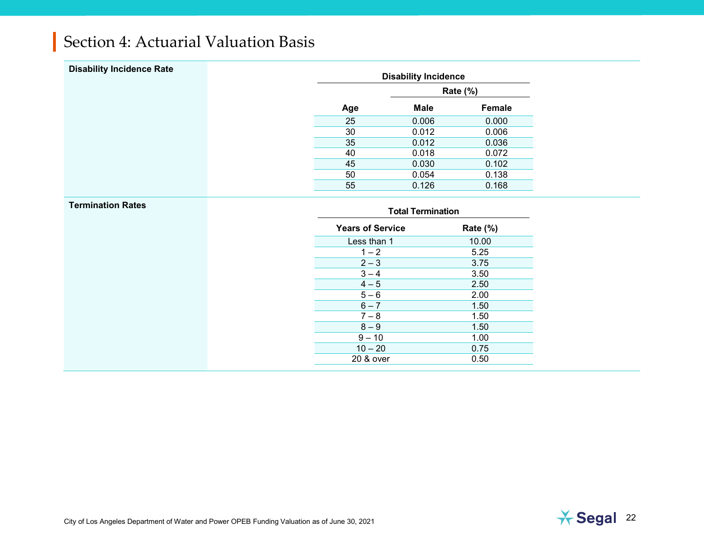| <b>Disability Incidence Rate</b> |     | <b>Disability Incidence</b> |          |
|----------------------------------|-----|-----------------------------|----------|
|                                  |     |                             | Rate (%) |
|                                  | Age | <b>Male</b>                 | Female   |
|                                  | 25  | 0.006                       | 0.000    |
|                                  | 30  | 0.012                       | 0.006    |
|                                  | 35  | 0.012                       | 0.036    |
|                                  | 40  | 0.018                       | 0.072    |
|                                  | 45  | 0.030                       | 0.102    |
|                                  | 50  | 0.054                       | 0.138    |
|                                  | 55  | 0.126                       | 0.168    |

| <b>Total Termination</b> |          |
|--------------------------|----------|
| <b>Years of Service</b>  | Rate (%) |
| Less than 1              | 10.00    |
| $1 - 2$                  | 5.25     |
| $2 - 3$                  | 3.75     |
| $3 - 4$                  | 3.50     |
| $4 - 5$                  | 2.50     |
| $5 - 6$                  | 2.00     |
| $6 - 7$                  | 1.50     |
| $7 - 8$                  | 1.50     |
| $8-9$                    | 1.50     |
| $9 - 10$                 | 1.00     |
| $10 - 20$                | 0.75     |
| 20 & over                | 0.50     |

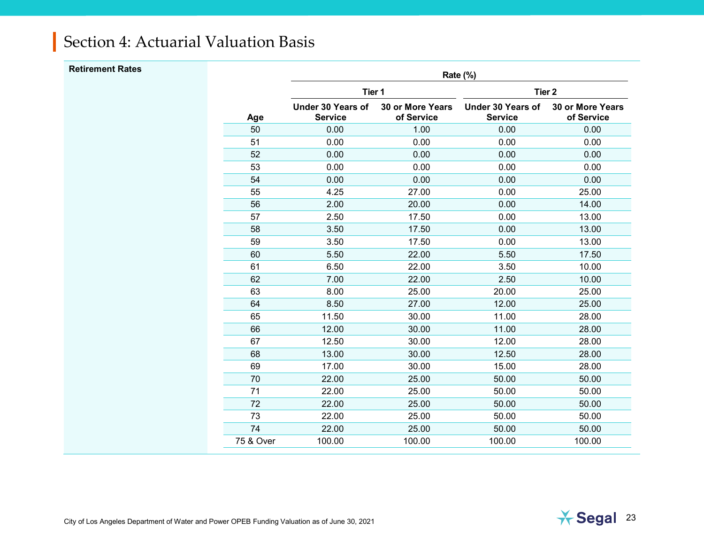| <b>Retirement Rates</b> |           |                                            |                                       | Rate (%)                                   |                                |
|-------------------------|-----------|--------------------------------------------|---------------------------------------|--------------------------------------------|--------------------------------|
|                         |           | Tier 1                                     |                                       | Tier <sub>2</sub>                          |                                |
|                         | Age       | <b>Under 30 Years of</b><br><b>Service</b> | <b>30 or More Years</b><br>of Service | <b>Under 30 Years of</b><br><b>Service</b> | 30 or More Years<br>of Service |
|                         | 50        | 0.00                                       | 1.00                                  | 0.00                                       | 0.00                           |
|                         | 51        | 0.00                                       | 0.00                                  | 0.00                                       | 0.00                           |
|                         | 52        | 0.00                                       | 0.00                                  | 0.00                                       | 0.00                           |
|                         | 53        | 0.00                                       | 0.00                                  | 0.00                                       | 0.00                           |
|                         | 54        | 0.00                                       | 0.00                                  | 0.00                                       | 0.00                           |
|                         | 55        | 4.25                                       | 27.00                                 | 0.00                                       | 25.00                          |
|                         | 56        | 2.00                                       | 20.00                                 | 0.00                                       | 14.00                          |
|                         | 57        | 2.50                                       | 17.50                                 | 0.00                                       | 13.00                          |
|                         | 58        | 3.50                                       | 17.50                                 | 0.00                                       | 13.00                          |
|                         | 59        | 3.50                                       | 17.50                                 | 0.00                                       | 13.00                          |
|                         | 60        | 5.50                                       | 22.00                                 | 5.50                                       | 17.50                          |
|                         | 61        | 6.50                                       | 22.00                                 | 3.50                                       | 10.00                          |
|                         | 62        | 7.00                                       | 22.00                                 | 2.50                                       | 10.00                          |
|                         | 63        | 8.00                                       | 25.00                                 | 20.00                                      | 25.00                          |
|                         | 64        | 8.50                                       | 27.00                                 | 12.00                                      | 25.00                          |
|                         | 65        | 11.50                                      | 30.00                                 | 11.00                                      | 28.00                          |
|                         | 66        | 12.00                                      | 30.00                                 | 11.00                                      | 28.00                          |
|                         | 67        | 12.50                                      | 30.00                                 | 12.00                                      | 28.00                          |
|                         | 68        | 13.00                                      | 30.00                                 | 12.50                                      | 28.00                          |
|                         | 69        | 17.00                                      | 30.00                                 | 15.00                                      | 28.00                          |
|                         | 70        | 22.00                                      | 25.00                                 | 50.00                                      | 50.00                          |
|                         | 71        | 22.00                                      | 25.00                                 | 50.00                                      | 50.00                          |
|                         | 72        | 22.00                                      | 25.00                                 | 50.00                                      | 50.00                          |
|                         | 73        | 22.00                                      | 25.00                                 | 50.00                                      | 50.00                          |
|                         | 74        | 22.00                                      | 25.00                                 | 50.00                                      | 50.00                          |
|                         | 75 & Over | 100.00                                     | 100.00                                | 100.00                                     | 100.00                         |
|                         |           |                                            |                                       |                                            |                                |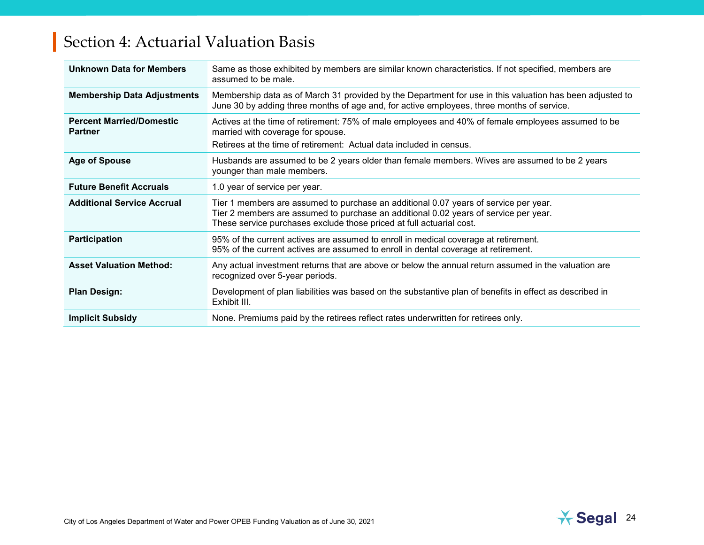| <b>Unknown Data for Members</b>                   | Same as those exhibited by members are similar known characteristics. If not specified, members are<br>assumed to be male.                                                                                                                           |
|---------------------------------------------------|------------------------------------------------------------------------------------------------------------------------------------------------------------------------------------------------------------------------------------------------------|
| <b>Membership Data Adjustments</b>                | Membership data as of March 31 provided by the Department for use in this valuation has been adjusted to<br>June 30 by adding three months of age and, for active employees, three months of service.                                                |
| <b>Percent Married/Domestic</b><br><b>Partner</b> | Actives at the time of retirement: 75% of male employees and 40% of female employees assumed to be<br>married with coverage for spouse.<br>Retirees at the time of retirement: Actual data included in census.                                       |
| <b>Age of Spouse</b>                              | Husbands are assumed to be 2 years older than female members. Wives are assumed to be 2 years<br>younger than male members.                                                                                                                          |
| <b>Future Benefit Accruals</b>                    | 1.0 year of service per year.                                                                                                                                                                                                                        |
| <b>Additional Service Accrual</b>                 | Tier 1 members are assumed to purchase an additional 0.07 years of service per year.<br>Tier 2 members are assumed to purchase an additional 0.02 years of service per year.<br>These service purchases exclude those priced at full actuarial cost. |
| <b>Participation</b>                              | 95% of the current actives are assumed to enroll in medical coverage at retirement.<br>95% of the current actives are assumed to enroll in dental coverage at retirement.                                                                            |
| <b>Asset Valuation Method:</b>                    | Any actual investment returns that are above or below the annual return assumed in the valuation are<br>recognized over 5-year periods.                                                                                                              |
| <b>Plan Design:</b>                               | Development of plan liabilities was based on the substantive plan of benefits in effect as described in<br>Exhibit III.                                                                                                                              |
| <b>Implicit Subsidy</b>                           | None. Premiums paid by the retirees reflect rates underwritten for retirees only.                                                                                                                                                                    |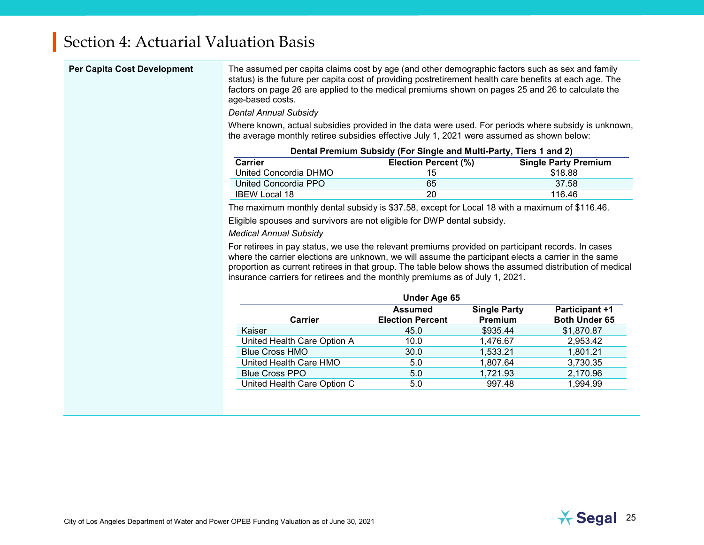<span id="page-27-0"></span>

| Per Capita Cost Development | The assumed per capita claims cost by age (and other demographic factors such as sex and family<br>status) is the future per capita cost of providing postretirement health care benefits at each age. The<br>factors on page 26 are applied to the medical premiums shown on pages 25 and 26 to calculate the<br>age-based costs.<br><b>Dental Annual Subsidy</b><br>Where known, actual subsidies provided in the data were used. For periods where subsidy is unknown,<br>the average monthly retiree subsidies effective July 1, 2021 were assumed as shown below: |                                                                    |                     |                                        |  |
|-----------------------------|------------------------------------------------------------------------------------------------------------------------------------------------------------------------------------------------------------------------------------------------------------------------------------------------------------------------------------------------------------------------------------------------------------------------------------------------------------------------------------------------------------------------------------------------------------------------|--------------------------------------------------------------------|---------------------|----------------------------------------|--|
|                             |                                                                                                                                                                                                                                                                                                                                                                                                                                                                                                                                                                        | Dental Premium Subsidy (For Single and Multi-Party, Tiers 1 and 2) |                     |                                        |  |
|                             | <b>Carrier</b><br>United Concordia DHMO                                                                                                                                                                                                                                                                                                                                                                                                                                                                                                                                | Election Percent (%)<br>15                                         |                     | <b>Single Party Premium</b><br>\$18.88 |  |
|                             | United Concordia PPO                                                                                                                                                                                                                                                                                                                                                                                                                                                                                                                                                   | 65                                                                 |                     | 37.58                                  |  |
|                             | <b>IBEW Local 18</b>                                                                                                                                                                                                                                                                                                                                                                                                                                                                                                                                                   | 20                                                                 |                     | 116.46                                 |  |
|                             | The maximum monthly dental subsidy is \$37.58, except for Local 18 with a maximum of \$116.46.                                                                                                                                                                                                                                                                                                                                                                                                                                                                         |                                                                    |                     |                                        |  |
|                             | Eligible spouses and survivors are not eligible for DWP dental subsidy.                                                                                                                                                                                                                                                                                                                                                                                                                                                                                                |                                                                    |                     |                                        |  |
|                             | <b>Medical Annual Subsidy</b>                                                                                                                                                                                                                                                                                                                                                                                                                                                                                                                                          |                                                                    |                     |                                        |  |
|                             | For retirees in pay status, we use the relevant premiums provided on participant records. In cases<br>where the carrier elections are unknown, we will assume the participant elects a carrier in the same<br>proportion as current retirees in that group. The table below shows the assumed distribution of medical<br>insurance carriers for retirees and the monthly premiums as of July 1, 2021.                                                                                                                                                                  |                                                                    |                     |                                        |  |
|                             |                                                                                                                                                                                                                                                                                                                                                                                                                                                                                                                                                                        | <b>Under Age 65</b><br><b>Assumed</b>                              | <b>Single Party</b> | Participant +1                         |  |
|                             | <b>Carrier</b>                                                                                                                                                                                                                                                                                                                                                                                                                                                                                                                                                         | <b>Election Percent</b>                                            | Premium             | Both Under 65                          |  |
|                             | Kaiser                                                                                                                                                                                                                                                                                                                                                                                                                                                                                                                                                                 | 45.0                                                               | \$935.44            | \$1,870.87                             |  |
|                             | United Health Care Option A                                                                                                                                                                                                                                                                                                                                                                                                                                                                                                                                            | 10.0                                                               | 1,476.67            | 2,953.42                               |  |
|                             | <b>Blue Cross HMO</b>                                                                                                                                                                                                                                                                                                                                                                                                                                                                                                                                                  | 30.0                                                               | 1,533.21            | 1,801.21                               |  |
|                             | United Health Care HMO                                                                                                                                                                                                                                                                                                                                                                                                                                                                                                                                                 | 5.0                                                                | 1,807.64            | 3,730.35                               |  |
|                             | <b>Blue Cross PPO</b>                                                                                                                                                                                                                                                                                                                                                                                                                                                                                                                                                  | 5.0                                                                | 1,721.93            | 2,170.96                               |  |
|                             | United Health Care Option C                                                                                                                                                                                                                                                                                                                                                                                                                                                                                                                                            | 5.0                                                                | 997.48              | 1,994.99                               |  |
|                             |                                                                                                                                                                                                                                                                                                                                                                                                                                                                                                                                                                        |                                                                    |                     |                                        |  |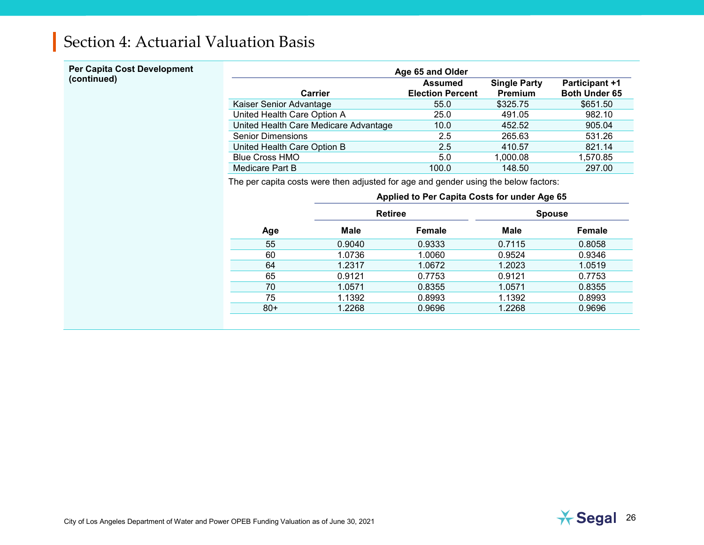## **Per Capita Cost Development**

| Per Capita Cost Development | Age 65 and Older                      |                                           |                                |                                               |  |
|-----------------------------|---------------------------------------|-------------------------------------------|--------------------------------|-----------------------------------------------|--|
| (continued)                 | Carrier                               | <b>Assumed</b><br><b>Election Percent</b> | <b>Single Party</b><br>Premium | <b>Participant +1</b><br><b>Both Under 65</b> |  |
|                             | Kaiser Senior Advantage               | 55.0                                      | \$325.75                       | \$651.50                                      |  |
|                             | United Health Care Option A           | 25.0                                      | 491.05                         | 982.10                                        |  |
|                             | United Health Care Medicare Advantage | 10.0                                      | 452.52                         | 905.04                                        |  |
|                             | <b>Senior Dimensions</b>              | 2.5                                       | 265.63                         | 531.26                                        |  |
|                             | United Health Care Option B           | 2.5                                       | 410.57                         | 821.14                                        |  |
|                             | <b>Blue Cross HMO</b>                 | 5.0                                       | 1,000.08                       | 1,570.85                                      |  |
|                             | Medicare Part B                       | 100.0                                     | 148.50                         | 297.00                                        |  |

<span id="page-28-1"></span>The per capita costs were then adjusted for age and gender using the below factors:

<span id="page-28-0"></span>

|       | Applied to Per Capita Costs for under Age 65 |                |        |               |  |
|-------|----------------------------------------------|----------------|--------|---------------|--|
|       |                                              | <b>Retiree</b> |        | <b>Spouse</b> |  |
| Age   | <b>Male</b>                                  | Female         | Male   | Female        |  |
| 55    | 0.9040                                       | 0.9333         | 0.7115 | 0.8058        |  |
| 60    | 1.0736                                       | 1.0060         | 0.9524 | 0.9346        |  |
| 64    | 1.2317                                       | 1.0672         | 1.2023 | 1.0519        |  |
| 65    | 0.9121                                       | 0.7753         | 0.9121 | 0.7753        |  |
| 70    | 1.0571                                       | 0.8355         | 1.0571 | 0.8355        |  |
| 75    | 1.1392                                       | 0.8993         | 1.1392 | 0.8993        |  |
| $80+$ | 1.2268                                       | 0.9696         | 1.2268 | 0.9696        |  |

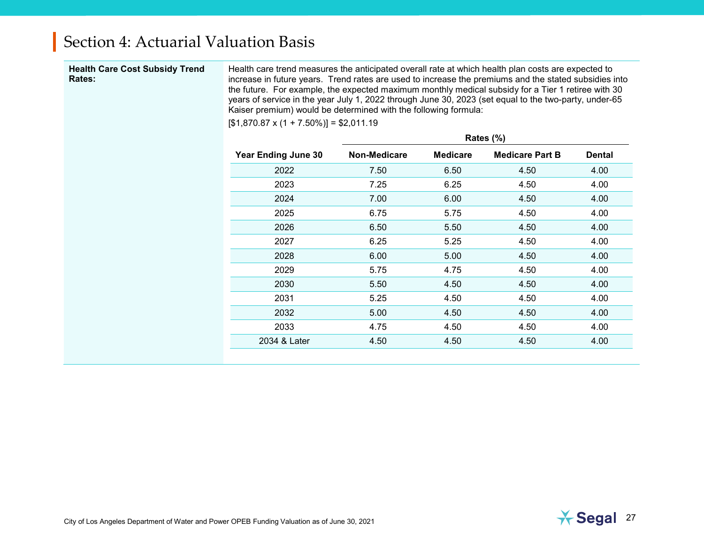#### **Health Care Cost Subsidy Trend Rates:**

Health care trend measures the anticipated overall rate at which health plan costs are expected to increase in future years. Trend rates are used to increase the premiums and the stated subsidies into the future. For example, the expected maximum monthly medical subsidy for a Tier 1 retiree with 30 years of service in the year July 1, 2022 through June 30, 2023 (set equal to the two-party, under-65 Kaiser premium) would be determined with the following formula:

 $[$1,870.87 \times (1 + 7.50\%)] = $2,011.19$ 

|                            |              |                 | Rates $(\%)$           |               |
|----------------------------|--------------|-----------------|------------------------|---------------|
| <b>Year Ending June 30</b> | Non-Medicare | <b>Medicare</b> | <b>Medicare Part B</b> | <b>Dental</b> |
| 2022                       | 7.50         | 6.50            | 4.50                   | 4.00          |
| 2023                       | 7.25         | 6.25            | 4.50                   | 4.00          |
| 2024                       | 7.00         | 6.00            | 4.50                   | 4.00          |
| 2025                       | 6.75         | 5.75            | 4.50                   | 4.00          |
| 2026                       | 6.50         | 5.50            | 4.50                   | 4.00          |
| 2027                       | 6.25         | 5.25            | 4.50                   | 4.00          |
| 2028                       | 6.00         | 5.00            | 4.50                   | 4.00          |
| 2029                       | 5.75         | 4.75            | 4.50                   | 4.00          |
| 2030                       | 5.50         | 4.50            | 4.50                   | 4.00          |
| 2031                       | 5.25         | 4.50            | 4.50                   | 4.00          |
| 2032                       | 5.00         | 4.50            | 4.50                   | 4.00          |
| 2033                       | 4.75         | 4.50            | 4.50                   | 4.00          |
| 2034 & Later               | 4.50         | 4.50            | 4.50                   | 4.00          |
|                            |              |                 |                        |               |

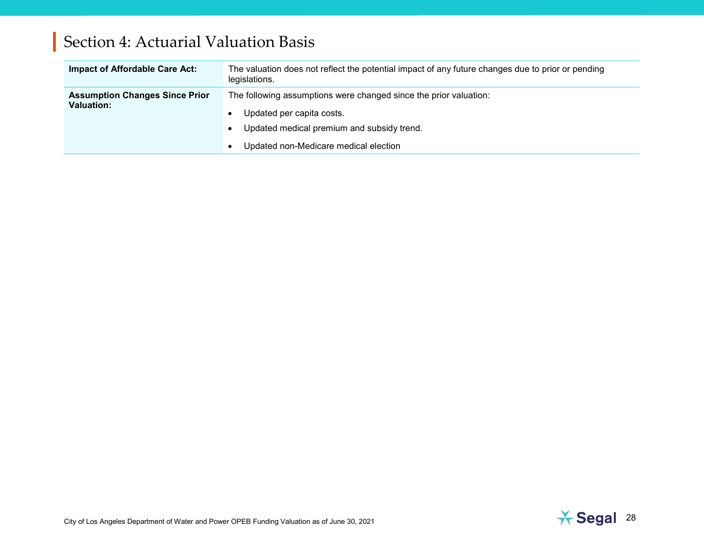| Impact of Affordable Care Act:                             | The valuation does not reflect the potential impact of any future changes due to prior or pending<br>legislations.                                                                    |
|------------------------------------------------------------|---------------------------------------------------------------------------------------------------------------------------------------------------------------------------------------|
| <b>Assumption Changes Since Prior</b><br><b>Valuation:</b> | The following assumptions were changed since the prior valuation:<br>Updated per capita costs.<br>Updated medical premium and subsidy trend.<br>Updated non-Medicare medical election |

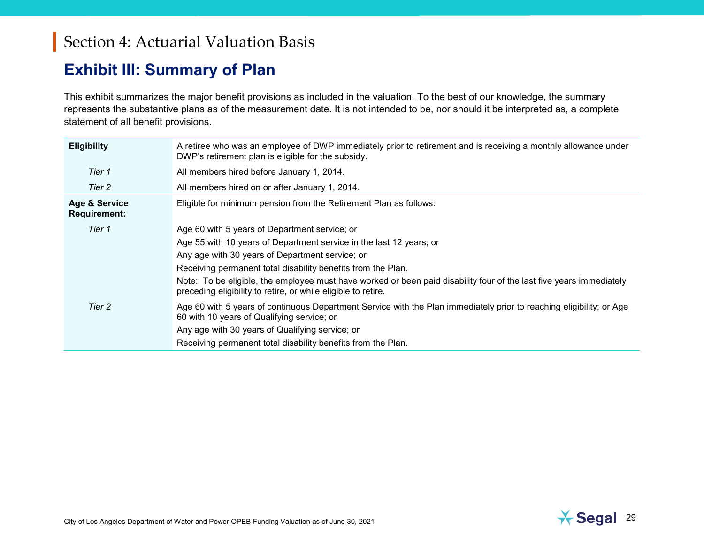### <span id="page-31-0"></span>**Exhibit III: Summary of Plan**

This exhibit summarizes the major benefit provisions as included in the valuation. To the best of our knowledge, the summary represents the substantive plans as of the measurement date. It is not intended to be, nor should it be interpreted as, a complete statement of all benefit provisions.

| <b>Eligibility</b>                   | A retiree who was an employee of DWP immediately prior to retirement and is receiving a monthly allowance under<br>DWP's retirement plan is eligible for the subsidy.                |
|--------------------------------------|--------------------------------------------------------------------------------------------------------------------------------------------------------------------------------------|
| Tier 1                               | All members hired before January 1, 2014.                                                                                                                                            |
| Tier 2                               | All members hired on or after January 1, 2014.                                                                                                                                       |
| Age & Service<br><b>Requirement:</b> | Eligible for minimum pension from the Retirement Plan as follows:                                                                                                                    |
| Tier 1                               | Age 60 with 5 years of Department service; or                                                                                                                                        |
|                                      | Age 55 with 10 years of Department service in the last 12 years; or                                                                                                                  |
|                                      | Any age with 30 years of Department service; or                                                                                                                                      |
|                                      | Receiving permanent total disability benefits from the Plan.                                                                                                                         |
|                                      | Note: To be eligible, the employee must have worked or been paid disability four of the last five years immediately<br>preceding eligibility to retire, or while eligible to retire. |
| Tier 2                               | Age 60 with 5 years of continuous Department Service with the Plan immediately prior to reaching eligibility; or Age<br>60 with 10 years of Qualifying service; or                   |
|                                      | Any age with 30 years of Qualifying service; or                                                                                                                                      |
|                                      | Receiving permanent total disability benefits from the Plan.                                                                                                                         |

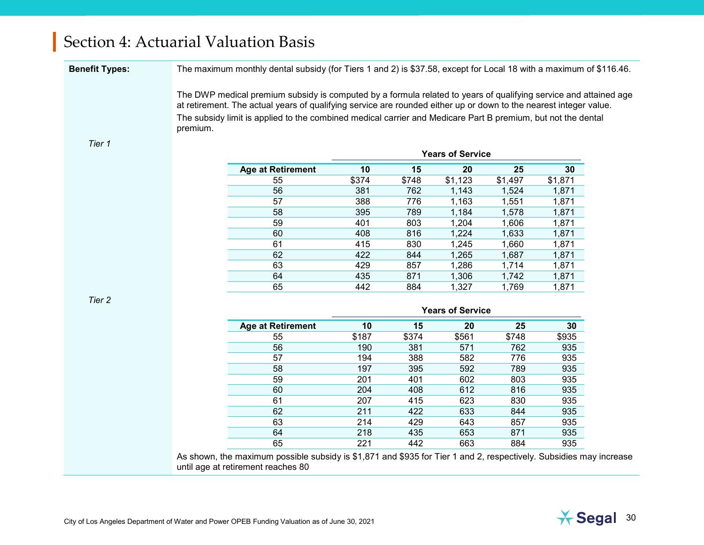**Benefit Types:** The maximum monthly dental subsidy (for Tiers 1 and 2) is \$37.58, except for Local 18 with a maximum of \$116.46.

The DWP medical premium subsidy is computed by a formula related to years of qualifying service and attained age at retirement. The actual years of qualifying service are rounded either up or down to the nearest integer value. The subsidy limit is applied to the combined medical carrier and Medicare Part B premium, but not the dental premium.

#### *Tier 1*

|                          |       |       | <b>Years of Service</b> |         |         |
|--------------------------|-------|-------|-------------------------|---------|---------|
| <b>Age at Retirement</b> | 10    | 15    | 20                      | 25      | 30      |
| 55                       | \$374 | \$748 | \$1,123                 | \$1,497 | \$1,871 |
| 56                       | 381   | 762   | 1.143                   | 1,524   | 1,871   |
| 57                       | 388   | 776   | 1,163                   | 1,551   | 1,871   |
| 58                       | 395   | 789   | 1,184                   | 1,578   | 1,871   |
| 59                       | 401   | 803   | 1,204                   | 1,606   | 1,871   |
| 60                       | 408   | 816   | 1,224                   | 1,633   | 1,871   |
| 61                       | 415   | 830   | 1,245                   | 1,660   | 1,871   |
| 62                       | 422   | 844   | 1,265                   | 1,687   | 1,871   |
| 63                       | 429   | 857   | 1,286                   | 1.714   | 1,871   |
| 64                       | 435   | 871   | 1.306                   | 1.742   | 1,871   |
| 65                       | 442   | 884   | 1,327                   | 1,769   | 1,871   |

*Tier 2*

|                          |       |       | <b>Years of Service</b> |       |       |
|--------------------------|-------|-------|-------------------------|-------|-------|
| <b>Age at Retirement</b> | 10    | 15    | 20                      | 25    | 30    |
| 55                       | \$187 | \$374 | \$561                   | \$748 | \$935 |
| 56                       | 190   | 381   | 571                     | 762   | 935   |
| 57                       | 194   | 388   | 582                     | 776   | 935   |
| 58                       | 197   | 395   | 592                     | 789   | 935   |
| 59                       | 201   | 401   | 602                     | 803   | 935   |
| 60                       | 204   | 408   | 612                     | 816   | 935   |
| 61                       | 207   | 415   | 623                     | 830   | 935   |
| 62                       | 211   | 422   | 633                     | 844   | 935   |
| 63                       | 214   | 429   | 643                     | 857   | 935   |
| 64                       | 218   | 435   | 653                     | 871   | 935   |
| 65                       | 221   | 442   | 663                     | 884   | 935   |

As shown, the maximum possible subsidy is \$1,871 and \$935 for Tier 1 and 2, respectively. Subsidies may increase until age at retirement reaches 80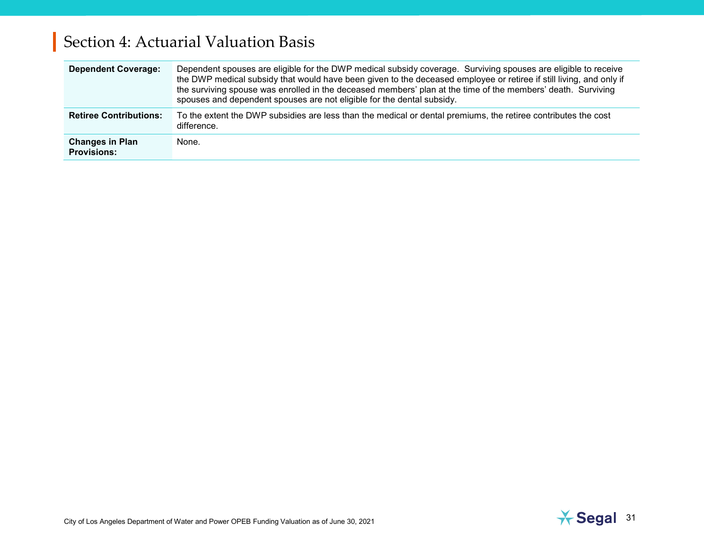| <b>Dependent Coverage:</b>                   | Dependent spouses are eligible for the DWP medical subsidy coverage. Surviving spouses are eligible to receive<br>the DWP medical subsidy that would have been given to the deceased employee or retiree if still living, and only if<br>the surviving spouse was enrolled in the deceased members' plan at the time of the members' death. Surviving<br>spouses and dependent spouses are not eligible for the dental subsidy. |
|----------------------------------------------|---------------------------------------------------------------------------------------------------------------------------------------------------------------------------------------------------------------------------------------------------------------------------------------------------------------------------------------------------------------------------------------------------------------------------------|
| <b>Retiree Contributions:</b>                | To the extent the DWP subsidies are less than the medical or dental premiums, the retiree contributes the cost<br>difference.                                                                                                                                                                                                                                                                                                   |
| <b>Changes in Plan</b><br><b>Provisions:</b> | None.                                                                                                                                                                                                                                                                                                                                                                                                                           |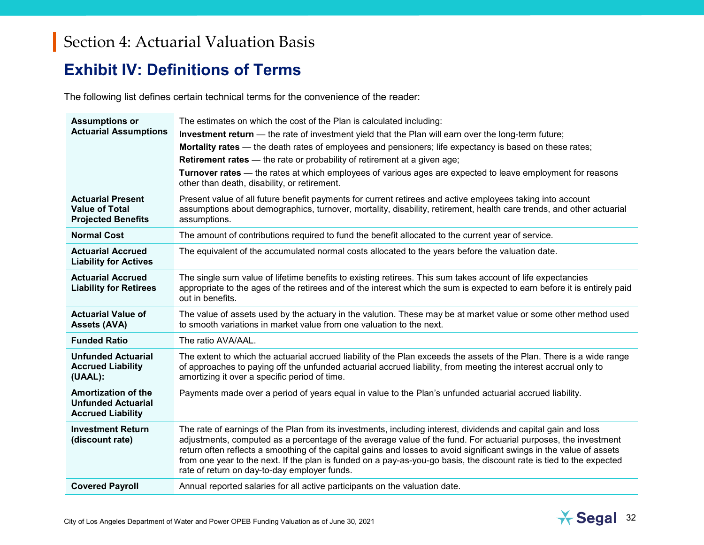### <span id="page-34-0"></span>**Exhibit IV: Definitions of Terms**

The following list defines certain technical terms for the convenience of the reader:

| <b>Assumptions or</b><br><b>Actuarial Assumptions</b>                               | The estimates on which the cost of the Plan is calculated including:                                                                                                                                                                                                                                                                                                                                                                                                                                                             |
|-------------------------------------------------------------------------------------|----------------------------------------------------------------------------------------------------------------------------------------------------------------------------------------------------------------------------------------------------------------------------------------------------------------------------------------------------------------------------------------------------------------------------------------------------------------------------------------------------------------------------------|
|                                                                                     | Investment return — the rate of investment yield that the Plan will earn over the long-term future;                                                                                                                                                                                                                                                                                                                                                                                                                              |
|                                                                                     | Mortality rates — the death rates of employees and pensioners; life expectancy is based on these rates;                                                                                                                                                                                                                                                                                                                                                                                                                          |
|                                                                                     | <b>Retirement rates</b> - the rate or probability of retirement at a given age;                                                                                                                                                                                                                                                                                                                                                                                                                                                  |
|                                                                                     | Turnover rates — the rates at which employees of various ages are expected to leave employment for reasons<br>other than death, disability, or retirement.                                                                                                                                                                                                                                                                                                                                                                       |
| <b>Actuarial Present</b><br><b>Value of Total</b><br><b>Projected Benefits</b>      | Present value of all future benefit payments for current retirees and active employees taking into account<br>assumptions about demographics, turnover, mortality, disability, retirement, health care trends, and other actuarial<br>assumptions.                                                                                                                                                                                                                                                                               |
| <b>Normal Cost</b>                                                                  | The amount of contributions required to fund the benefit allocated to the current year of service.                                                                                                                                                                                                                                                                                                                                                                                                                               |
| <b>Actuarial Accrued</b><br><b>Liability for Actives</b>                            | The equivalent of the accumulated normal costs allocated to the years before the valuation date.                                                                                                                                                                                                                                                                                                                                                                                                                                 |
| <b>Actuarial Accrued</b><br><b>Liability for Retirees</b>                           | The single sum value of lifetime benefits to existing retirees. This sum takes account of life expectancies<br>appropriate to the ages of the retirees and of the interest which the sum is expected to earn before it is entirely paid<br>out in benefits.                                                                                                                                                                                                                                                                      |
| <b>Actuarial Value of</b><br><b>Assets (AVA)</b>                                    | The value of assets used by the actuary in the valution. These may be at market value or some other method used<br>to smooth variations in market value from one valuation to the next.                                                                                                                                                                                                                                                                                                                                          |
| <b>Funded Ratio</b>                                                                 | The ratio AVA/AAL.                                                                                                                                                                                                                                                                                                                                                                                                                                                                                                               |
| <b>Unfunded Actuarial</b><br><b>Accrued Liability</b><br>(UAAL):                    | The extent to which the actuarial accrued liability of the Plan exceeds the assets of the Plan. There is a wide range<br>of approaches to paying off the unfunded actuarial accrued liability, from meeting the interest accrual only to<br>amortizing it over a specific period of time.                                                                                                                                                                                                                                        |
| <b>Amortization of the</b><br><b>Unfunded Actuarial</b><br><b>Accrued Liability</b> | Payments made over a period of years equal in value to the Plan's unfunded actuarial accrued liability.                                                                                                                                                                                                                                                                                                                                                                                                                          |
| <b>Investment Return</b><br>(discount rate)                                         | The rate of earnings of the Plan from its investments, including interest, dividends and capital gain and loss<br>adjustments, computed as a percentage of the average value of the fund. For actuarial purposes, the investment<br>return often reflects a smoothing of the capital gains and losses to avoid significant swings in the value of assets<br>from one year to the next. If the plan is funded on a pay-as-you-go basis, the discount rate is tied to the expected<br>rate of return on day-to-day employer funds. |
| <b>Covered Payroll</b>                                                              | Annual reported salaries for all active participants on the valuation date.                                                                                                                                                                                                                                                                                                                                                                                                                                                      |